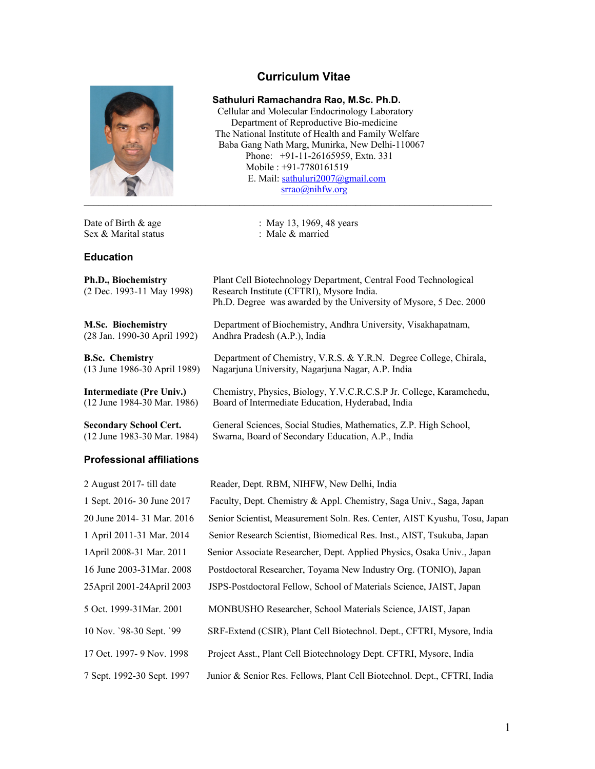# **Curriculum Vitae**



Sex & Marital status : Male & married

#### **Education**

| Ph.D., Biochemistry |                           |  |  |  |
|---------------------|---------------------------|--|--|--|
|                     | (2 Dec. 1993-11 May 1998) |  |  |  |

**M.Sc. Biochemistry** Department of Biochemistry, Andhra University, Visakhapatnam, (28 Jan. 1990-30 April 1992) Andhra Pradesh (A.P.), India

**B.Sc. Chemistry** Department of Chemistry, V.R.S. & Y.R.N. Degree College, Chirala, (13 June 1986-30 April 1989) Nagarjuna University, Nagarjuna Nagar, A.P. India

**Intermediate (Pre Univ.)** Chemistry, Physics, Biology, Y.V.C.R.C.S.P Jr. College, Karamchedu, (12 June 1984-30 Mar. 1986) Board of Intermediate Education, Hyderabad, India

**Secondary School Cert.** General Sciences, Social Studies, Mathematics, Z.P. High School, (12 June 1983-30 Mar. 1984) Swarna, Board of Secondary Education, A.P., India

Plant Cell Biotechnology Department, Central Food Technological

Ph.D. Degree was awarded by the University of Mysore, 5 Dec. 2000

#### **Professional affiliations**

| Reader, Dept. RBM, NIHFW, New Delhi, India                                |
|---------------------------------------------------------------------------|
| Faculty, Dept. Chemistry & Appl. Chemistry, Saga Univ., Saga, Japan       |
| Senior Scientist, Measurement Soln. Res. Center, AIST Kyushu, Tosu, Japan |
| Senior Research Scientist, Biomedical Res. Inst., AIST, Tsukuba, Japan    |
| Senior Associate Researcher, Dept. Applied Physics, Osaka Univ., Japan    |
| Postdoctoral Researcher, Toyama New Industry Org. (TONIO), Japan          |
| JSPS-Postdoctoral Fellow, School of Materials Science, JAIST, Japan       |
| MONBUSHO Researcher, School Materials Science, JAIST, Japan               |
| SRF-Extend (CSIR), Plant Cell Biotechnol. Dept., CFTRI, Mysore, India     |
| Project Asst., Plant Cell Biotechnology Dept. CFTRI, Mysore, India        |
| Junior & Senior Res. Fellows, Plant Cell Biotechnol. Dept., CFTRI, India  |
|                                                                           |

 **Sathuluri Ramachandra Rao, M.Sc. Ph.D.** 

 Cellular and Molecular Endocrinology Laboratory Department of Reproductive Bio-medicine The National Institute of Health and Family Welfare Baba Gang Nath Marg, Munirka, New Delhi-110067 Phone: +91-11-26165959, Extn. 331 Mobile : +91-7780161519 E. Mail: sathuluri2007@gmail.com srrao@nihfw.org

Date of Birth & age : May 13, 1969, 48 years

Research Institute (CFTRI), Mysore India.

Nagarjuna University, Nagarjuna Nagar, A.P. India

1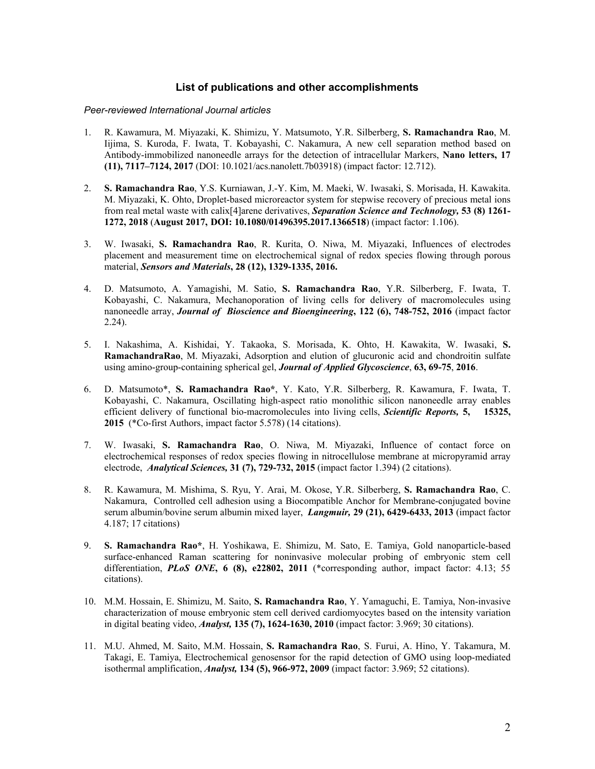# **List of publications and other accomplishments**

#### *Peer-reviewed International Journal articles*

- 1. R. Kawamura, M. Miyazaki, K. Shimizu, Y. Matsumoto, Y.R. Silberberg, **S. Ramachandra Rao**, M. Iijima, S. Kuroda, F. Iwata, T. Kobayashi, C. Nakamura, A new cell separation method based on Antibody-immobilized nanoneedle arrays for the detection of intracellular Markers, **Nano letters, 17 (11), 7117–7124, 2017** (DOI: 10.1021/acs.nanolett.7b03918) (impact factor: 12.712).
- 2. **S. Ramachandra Rao**, Y.S. Kurniawan, J.-Y. Kim, M. Maeki, W. Iwasaki, S. Morisada, H. Kawakita. M. Miyazaki, K. Ohto, Droplet-based microreactor system for stepwise recovery of precious metal ions from real metal waste with calix[4]arene derivatives, *Separation Science and Technology,* **53 (8) 1261- 1272, 2018** (**August 2017, DOI: 10.1080/01496395.2017.1366518**) (impact factor: 1.106).
- 3. W. Iwasaki, **S. Ramachandra Rao**, R. Kurita, O. Niwa, M. Miyazaki, Influences of electrodes placement and measurement time on electrochemical signal of redox species flowing through porous material, *Sensors and Materials***, 28 (12), 1329-1335, 2016.**
- 4. D. Matsumoto, A. Yamagishi, M. Satio, **S. Ramachandra Rao**, Y.R. Silberberg, F. Iwata, T. Kobayashi, C. Nakamura, Mechanoporation of living cells for delivery of macromolecules using nanoneedle array, *Journal of Bioscience and Bioengineering***, 122 (6), 748-752, 2016** (impact factor 2.24).
- 5. I. Nakashima, A. Kishidai, Y. Takaoka, S. Morisada, K. Ohto, H. Kawakita, W. Iwasaki, **S. RamachandraRao**, M. Miyazaki, Adsorption and elution of glucuronic acid and chondroitin sulfate using amino-group-containing spherical gel, *Journal of Applied Glycoscience*, **63, 69-75**, **2016**.
- 6. D. Matsumoto\*, **S. Ramachandra Rao\***, Y. Kato, Y.R. Silberberg, R. Kawamura, F. Iwata, T. Kobayashi, C. Nakamura, Oscillating high-aspect ratio monolithic silicon nanoneedle array enables efficient delivery of functional bio-macromolecules into living cells, *Scientific Reports,* **5, 15325, 2015** (\*Co-first Authors, impact factor 5.578) (14 citations).
- 7. W. Iwasaki, **S. Ramachandra Rao**, O. Niwa, M. Miyazaki, Influence of contact force on electrochemical responses of redox species flowing in nitrocellulose membrane at micropyramid array electrode, *Analytical Sciences,* **31 (7), 729-732, 2015** (impact factor 1.394) (2 citations).
- 8. R. Kawamura, M. Mishima, S. Ryu, Y. Arai, M. Okose, Y.R. Silberberg, **S. Ramachandra Rao**, C. Nakamura, Controlled cell adhesion using a Biocompatible Anchor for Membrane-conjugated bovine serum albumin/bovine serum albumin mixed layer, *Langmuir,* **29 (21), 6429-6433, 2013** (impact factor 4.187; 17 citations)
- 9. **S. Ramachandra Rao\***, H. Yoshikawa, E. Shimizu, M. Sato, E. Tamiya, Gold nanoparticle-based surface-enhanced Raman scattering for noninvasive molecular probing of embryonic stem cell differentiation, **PLOS ONE**, 6 (8), e22802, 2011 (\*corresponding author, impact factor: 4.13; 55 citations).
- 10. M.M. Hossain, E. Shimizu, M. Saito, **S. Ramachandra Rao**, Y. Yamaguchi, E. Tamiya, Non-invasive characterization of mouse embryonic stem cell derived cardiomyocytes based on the intensity variation in digital beating video, *Analyst,* **135 (7), 1624-1630, 2010** (impact factor: 3.969; 30 citations).
- 11. M.U. Ahmed, M. Saito, M.M. Hossain, **S. Ramachandra Rao**, S. Furui, A. Hino, Y. Takamura, M. Takagi, E. Tamiya, Electrochemical genosensor for the rapid detection of GMO using loop-mediated isothermal amplification, *Analyst,* **134 (5), 966-972, 2009** (impact factor: 3.969; 52 citations).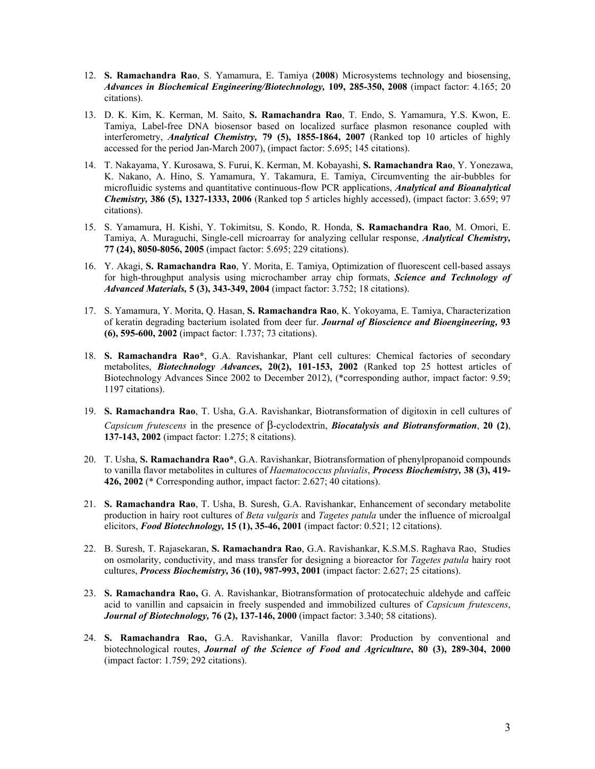- 12. **S. Ramachandra Rao**, S. Yamamura, E. Tamiya (**2008**) Microsystems technology and biosensing, *Advances in Biochemical Engineering/Biotechnology,* **109, 285-350, 2008** (impact factor: 4.165; 20 citations).
- 13. D. K. Kim, K. Kerman, M. Saito, **S. Ramachandra Rao**, T. Endo, S. Yamamura, Y.S. Kwon, E. Tamiya, Label-free DNA biosensor based on localized surface plasmon resonance coupled with interferometry, *Analytical Chemistry,* **79 (5), 1855-1864, 2007** (Ranked top 10 articles of highly accessed for the period Jan-March 2007), (impact factor: 5.695; 145 citations).
- 14. T. Nakayama, Y. Kurosawa, S. Furui, K. Kerman, M. Kobayashi, **S. Ramachandra Rao**, Y. Yonezawa, K. Nakano, A. Hino, S. Yamamura, Y. Takamura, E. Tamiya, Circumventing the air-bubbles for microfluidic systems and quantitative continuous-flow PCR applications, *Analytical and Bioanalytical Chemistry,* **386 (5), 1327-1333, 2006** (Ranked top 5 articles highly accessed), (impact factor: 3.659; 97 citations).
- 15. S. Yamamura, H. Kishi, Y. Tokimitsu, S. Kondo, R. Honda, **S. Ramachandra Rao**, M. Omori, E. Tamiya, A. Muraguchi, Single-cell microarray for analyzing cellular response, *Analytical Chemistry,* **77 (24), 8050-8056, 2005** (impact factor: 5.695; 229 citations).
- 16. Y. Akagi, **S. Ramachandra Rao**, Y. Morita, E. Tamiya, Optimization of fluorescent cell-based assays for high-throughput analysis using microchamber array chip formats, *Science and Technology of Advanced Materials,* **5 (3), 343-349, 2004** (impact factor: 3.752; 18 citations).
- 17. S. Yamamura, Y. Morita, Q. Hasan, **S. Ramachandra Rao**, K. Yokoyama, E. Tamiya, Characterization of keratin degrading bacterium isolated from deer fur. *Journal of Bioscience and Bioengineering,* **93 (6), 595-600, 2002** (impact factor: 1.737; 73 citations).
- 18. **S. Ramachandra Rao\***, G.A. Ravishankar, Plant cell cultures: Chemical factories of secondary metabolites, *Biotechnology Advances***, 20(2), 101-153, 2002** (Ranked top 25 hottest articles of Biotechnology Advances Since 2002 to December 2012), (\*corresponding author, impact factor: 9.59; 1197 citations).
- 19. **S. Ramachandra Rao**, T. Usha, G.A. Ravishankar, Biotransformation of digitoxin in cell cultures of *Capsicum frutescens* in the presence of  $\beta$ -cyclodextrin, *Biocatalysis and Biotransformation*, 20 (2), **137-143, 2002** (impact factor: 1.275; 8 citations).
- 20. T. Usha, **S. Ramachandra Rao\***, G.A. Ravishankar, Biotransformation of phenylpropanoid compounds to vanilla flavor metabolites in cultures of *Haematococcus pluvialis*, *Process Biochemistry,* **38 (3), 419- 426, 2002** (\* Corresponding author, impact factor: 2.627; 40 citations).
- 21. **S. Ramachandra Rao**, T. Usha, B. Suresh, G.A. Ravishankar, Enhancement of secondary metabolite production in hairy root cultures of *Beta vulgaris* and *Tagetes patula* under the influence of microalgal elicitors, *Food Biotechnology,* **15 (1), 35-46, 2001** (impact factor: 0.521; 12 citations).
- 22. B. Suresh, T. Rajasekaran, **S. Ramachandra Rao**, G.A. Ravishankar, K.S.M.S. Raghava Rao, Studies on osmolarity, conductivity, and mass transfer for designing a bioreactor for *Tagetes patula* hairy root cultures, *Process Biochemistry,* **36 (10), 987-993, 2001** (impact factor: 2.627; 25 citations).
- 23. **S. Ramachandra Rao,** G. A. Ravishankar, Biotransformation of protocatechuic aldehyde and caffeic acid to vanillin and capsaicin in freely suspended and immobilized cultures of *Capsicum frutescens*, *Journal of Biotechnology,* **76 (2), 137-146, 2000** (impact factor: 3.340; 58 citations).
- 24. **S. Ramachandra Rao,** G.A. Ravishankar, Vanilla flavor: Production by conventional and biotechnological routes, *Journal of the Science of Food and Agriculture***, 80 (3), 289-304, 2000**  (impact factor: 1.759; 292 citations).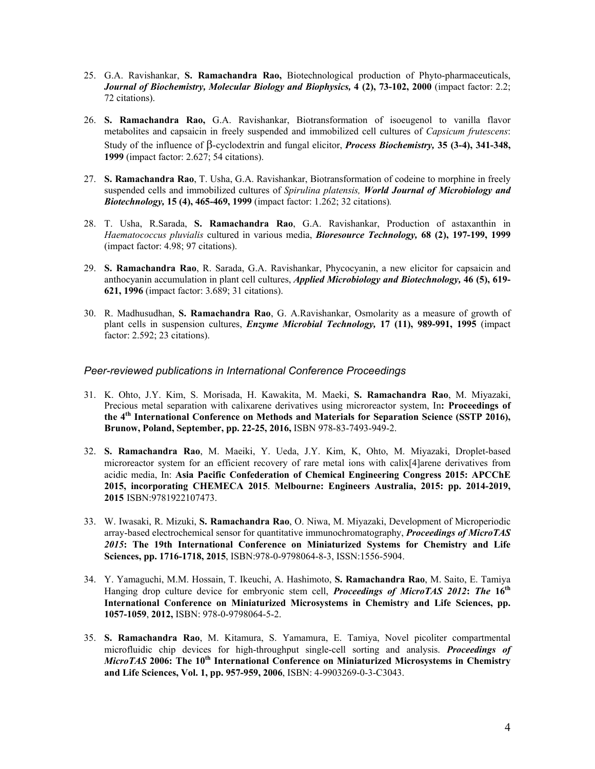- 25. G.A. Ravishankar, **S. Ramachandra Rao,** Biotechnological production of Phyto-pharmaceuticals, *Journal of Biochemistry, Molecular Biology and Biophysics,* **4 (2), 73-102, 2000** (impact factor: 2.2; 72 citations).
- 26. **S. Ramachandra Rao,** G.A. Ravishankar, Biotransformation of isoeugenol to vanilla flavor metabolites and capsaicin in freely suspended and immobilized cell cultures of *Capsicum frutescens*: Study of the influence of  $\beta$ -cyclodextrin and fungal elicitor, *Process Biochemistry*, 35 (3-4), 341-348, **1999** (impact factor: 2.627; 54 citations).
- 27. **S. Ramachandra Rao**, T. Usha, G.A. Ravishankar, Biotransformation of codeine to morphine in freely suspended cells and immobilized cultures of *Spirulina platensis, World Journal of Microbiology and Biotechnology,* **15 (4), 465-469, 1999** (impact factor: 1.262; 32 citations)*.*
- 28. T. Usha, R.Sarada, **S. Ramachandra Rao**, G.A. Ravishankar, Production of astaxanthin in *Haematococcus pluvialis* cultured in various media, *Bioresource Technology,* **68 (2), 197-199, 1999**  (impact factor: 4.98; 97 citations).
- 29. **S. Ramachandra Rao**, R. Sarada, G.A. Ravishankar, Phycocyanin, a new elicitor for capsaicin and anthocyanin accumulation in plant cell cultures, *Applied Microbiology and Biotechnology,* **46 (5), 619- 621, 1996** (impact factor: 3.689; 31 citations).
- 30. R. Madhusudhan, **S. Ramachandra Rao**, G. A.Ravishankar, Osmolarity as a measure of growth of plant cells in suspension cultures, *Enzyme Microbial Technology,* **17 (11), 989-991, 1995** (impact factor: 2.592; 23 citations).

# *Peer-reviewed publications in International Conference Proceedings*

- 31. K. Ohto, J.Y. Kim, S. Morisada, H. Kawakita, M. Maeki, **S. Ramachandra Rao**, M. Miyazaki, Precious metal separation with calixarene derivatives using microreactor system, In**: Proceedings of the 4th International Conference on Methods and Materials for Separation Science (SSTP 2016), Brunow, Poland, September, pp. 22-25, 2016,** ISBN 978-83-7493-949-2.
- 32. **S. Ramachandra Rao**, M. Maeiki, Y. Ueda, J.Y. Kim, K, Ohto, M. Miyazaki, Droplet-based microreactor system for an efficient recovery of rare metal ions with calix[4]arene derivatives from acidic media, In: **Asia Pacific Confederation of Chemical Engineering Congress 2015: APCChE 2015, incorporating CHEMECA 2015**. **Melbourne: Engineers Australia, 2015: pp. 2014-2019, 2015** ISBN:9781922107473.
- 33. W. Iwasaki, R. Mizuki, **S. Ramachandra Rao**, O. Niwa, M. Miyazaki, Development of Microperiodic array-based electrochemical sensor for quantitative immunochromatography, *Proceedings of MicroTAS 2015***: The 19th International Conference on Miniaturized Systems for Chemistry and Life Sciences, pp. 1716-1718, 2015**, ISBN:978-0-9798064-8-3, ISSN:1556-5904.
- 34. Y. Yamaguchi, M.M. Hossain, T. Ikeuchi, A. Hashimoto, **S. Ramachandra Rao**, M. Saito, E. Tamiya Hanging drop culture device for embryonic stem cell, *Proceedings of MicroTAS 2012***:** *The* **16th International Conference on Miniaturized Microsystems in Chemistry and Life Sciences, pp. 1057-1059**, **2012,** ISBN: 978-0-9798064-5-2.
- 35. **S. Ramachandra Rao**, M. Kitamura, S. Yamamura, E. Tamiya, Novel picoliter compartmental microfluidic chip devices for high-throughput single-cell sorting and analysis. *Proceedings of MicroTAS* **2006: The 10th International Conference on Miniaturized Microsystems in Chemistry and Life Sciences, Vol. 1, pp. 957-959, 2006**, ISBN: 4-9903269-0-3-C3043.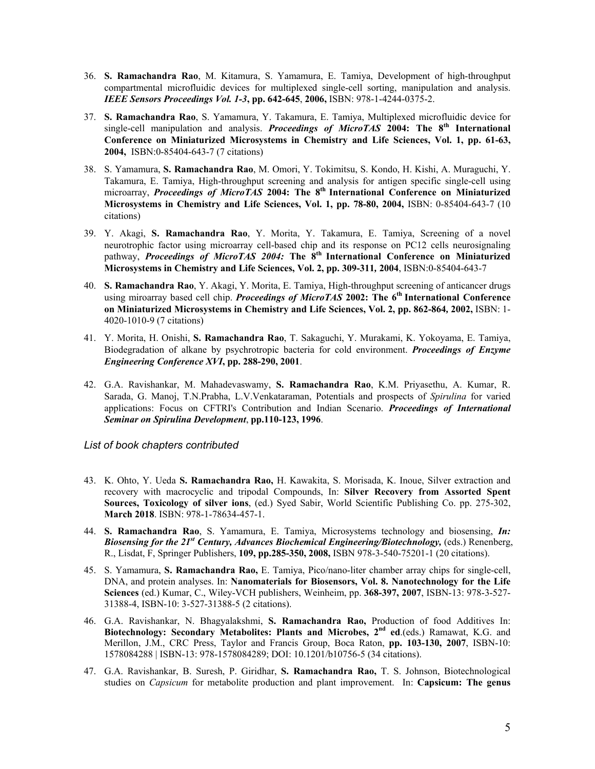- 36. **S. Ramachandra Rao**, M. Kitamura, S. Yamamura, E. Tamiya, Development of high-throughput compartmental microfluidic devices for multiplexed single-cell sorting, manipulation and analysis. *IEEE Sensors Proceedings Vol. 1-3***, pp. 642-645**, **2006,** ISBN: 978-1-4244-0375-2.
- 37. **S. Ramachandra Rao**, S. Yamamura, Y. Takamura, E. Tamiya, Multiplexed microfluidic device for single-cell manipulation and analysis. *Proceedings of MicroTAS* **2004: The 8th International Conference on Miniaturized Microsystems in Chemistry and Life Sciences, Vol. 1, pp. 61-63, 2004,** ISBN:0-85404-643-7 (7 citations)
- 38. S. Yamamura, **S. Ramachandra Rao**, M. Omori, Y. Tokimitsu, S. Kondo, H. Kishi, A. Muraguchi, Y. Takamura, E. Tamiya, High-throughput screening and analysis for antigen specific single-cell using microarray, *Proceedings of MicroTAS* **2004: The 8th International Conference on Miniaturized Microsystems in Chemistry and Life Sciences, Vol. 1, pp. 78-80, 2004,** ISBN: 0-85404-643-7 (10 citations)
- 39. Y. Akagi, **S. Ramachandra Rao**, Y. Morita, Y. Takamura, E. Tamiya, Screening of a novel neurotrophic factor using microarray cell-based chip and its response on PC12 cells neurosignaling pathway, *Proceedings of MicroTAS 2004:* **The 8th International Conference on Miniaturized Microsystems in Chemistry and Life Sciences, Vol. 2, pp. 309-311***,* **2004**, ISBN:0-85404-643-7
- 40. **S. Ramachandra Rao**, Y. Akagi, Y. Morita, E. Tamiya, High-throughput screening of anticancer drugs using miroarray based cell chip. *Proceedings of MicroTAS* **2002: The 6th International Conference on Miniaturized Microsystems in Chemistry and Life Sciences, Vol. 2, pp. 862-864***,* **2002,** ISBN: 1- 4020-1010-9 (7 citations)
- 41. Y. Morita, H. Onishi, **S. Ramachandra Rao**, T. Sakaguchi, Y. Murakami, K. Yokoyama, E. Tamiya, Biodegradation of alkane by psychrotropic bacteria for cold environment. *Proceedings of Enzyme Engineering Conference XVI***, pp. 288-290, 2001**.
- 42. G.A. Ravishankar, M. Mahadevaswamy, **S. Ramachandra Rao**, K.M. Priyasethu, A. Kumar, R. Sarada, G. Manoj, T.N.Prabha, L.V.Venkataraman, Potentials and prospects of *Spirulina* for varied applications: Focus on CFTRI's Contribution and Indian Scenario. *Proceedings of International Seminar on Spirulina Development*, **pp.110-123, 1996**.

*List of book chapters contributed* 

- 43. K. Ohto, Y. Ueda **S. Ramachandra Rao,** H. Kawakita, S. Morisada, K. Inoue, Silver extraction and recovery with macrocyclic and tripodal Compounds, In: **Silver Recovery from Assorted Spent Sources, Toxicology of silver ions**, (ed.) Syed Sabir, World Scientific Publishing Co. pp. 275-302, **March 2018**. ISBN: 978-1-78634-457-1.
- 44. **S. Ramachandra Rao**, S. Yamamura, E. Tamiya, Microsystems technology and biosensing, *In: Biosensing for the 21st Century, Advances Biochemical Engineering/Biotechnology,* (eds.) Renenberg, R., Lisdat, F, Springer Publishers, **109, pp.285-350, 2008,** ISBN 978-3-540-75201-1 (20 citations).
- 45. S. Yamamura, **S. Ramachandra Rao,** E. Tamiya, Pico/nano-liter chamber array chips for single-cell, DNA, and protein analyses. In: **Nanomaterials for Biosensors, Vol. 8. Nanotechnology for the Life Sciences** (ed.) Kumar, C., Wiley-VCH publishers, Weinheim, pp. **368-397, 2007**, ISBN-13: 978-3-527- 31388-4, ISBN-10: 3-527-31388-5 (2 citations).
- 46. G.A. Ravishankar, N. Bhagyalakshmi, **S. Ramachandra Rao,** Production of food Additives In: **Biotechnology: Secondary Metabolites: Plants and Microbes, 2nd ed**.(eds.) Ramawat, K.G. and Merillon, J.M., CRC Press, Taylor and Francis Group, Boca Raton, **pp. 103-130, 2007**, ISBN-10: 1578084288 | ISBN-13: 978-1578084289; DOI: 10.1201/b10756-5 (34 citations).
- 47. G.A. Ravishankar, B. Suresh, P. Giridhar, **S. Ramachandra Rao,** T. S. Johnson, Biotechnological studies on *Capsicum* for metabolite production and plant improvement. In: **Capsicum: The genus**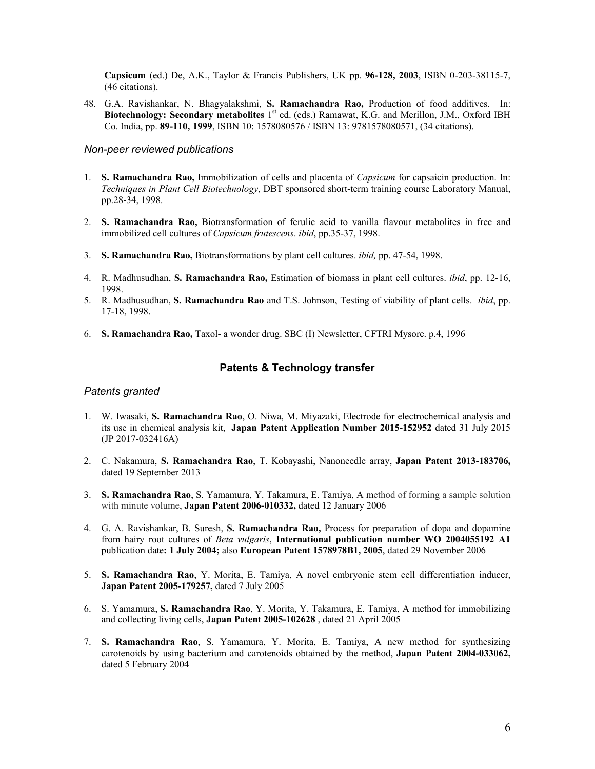**Capsicum** (ed.) De, A.K., Taylor & Francis Publishers, UK pp. **96-128, 2003**, ISBN 0-203-38115-7, (46 citations).

48. G.A. Ravishankar, N. Bhagyalakshmi, **S. Ramachandra Rao,** Production of food additives. In: **Biotechnology: Secondary metabolites** 1<sup>st</sup> ed. (eds.) Ramawat, K.G. and Merillon, J.M., Oxford IBH Co. India, pp. **89-110, 1999**, ISBN 10: 1578080576 / ISBN 13: 9781578080571, (34 citations).

# *Non-peer reviewed publications*

- 1. **S. Ramachandra Rao,** Immobilization of cells and placenta of *Capsicum* for capsaicin production. In: *Techniques in Plant Cell Biotechnology*, DBT sponsored short-term training course Laboratory Manual, pp.28-34, 1998.
- 2. **S. Ramachandra Rao,** Biotransformation of ferulic acid to vanilla flavour metabolites in free and immobilized cell cultures of *Capsicum frutescens*. *ibid*, pp.35-37, 1998.
- 3. **S. Ramachandra Rao,** Biotransformations by plant cell cultures. *ibid,* pp. 47-54, 1998.
- 4. R. Madhusudhan, **S. Ramachandra Rao,** Estimation of biomass in plant cell cultures. *ibid*, pp. 12-16, 1998.
- 5. R. Madhusudhan, **S. Ramachandra Rao** and T.S. Johnson, Testing of viability of plant cells. *ibid*, pp. 17-18, 1998.
- 6. **S. Ramachandra Rao,** Taxol- a wonder drug. SBC (I) Newsletter, CFTRI Mysore. p.4, 1996

# **Patents & Technology transfer**

#### *Patents granted*

- 1. W. Iwasaki, **S. Ramachandra Rao**, O. Niwa, M. Miyazaki, Electrode for electrochemical analysis and its use in chemical analysis kit, **Japan Patent Application Number 2015-152952** dated 31 July 2015 (JP 2017-032416A)
- 2. C. Nakamura, **S. Ramachandra Rao**, T. Kobayashi, Nanoneedle array, **Japan Patent 2013-183706,**  dated 19 September 2013
- 3. **S. Ramachandra Rao**, S. Yamamura, Y. Takamura, E. Tamiya, A method of forming a sample solution with minute volume, **Japan Patent 2006-010332,** dated 12 January 2006
- 4. G. A. Ravishankar, B. Suresh, **S. Ramachandra Rao,** Process for preparation of dopa and dopamine from hairy root cultures of *Beta vulgaris*, **International publication number WO 2004055192 A1**  publication date**: 1 July 2004;** also **European Patent 1578978B1, 2005**, dated 29 November 2006
- 5. **S. Ramachandra Rao**, Y. Morita, E. Tamiya, A novel embryonic stem cell differentiation inducer, **Japan Patent 2005-179257,** dated 7 July 2005
- 6. S. Yamamura, **S. Ramachandra Rao**, Y. Morita, Y. Takamura, E. Tamiya, A method for immobilizing and collecting living cells, **Japan Patent 2005-102628** , dated 21 April 2005
- 7. **S. Ramachandra Rao**, S. Yamamura, Y. Morita, E. Tamiya, A new method for synthesizing carotenoids by using bacterium and carotenoids obtained by the method, **Japan Patent 2004-033062,**  dated 5 February 2004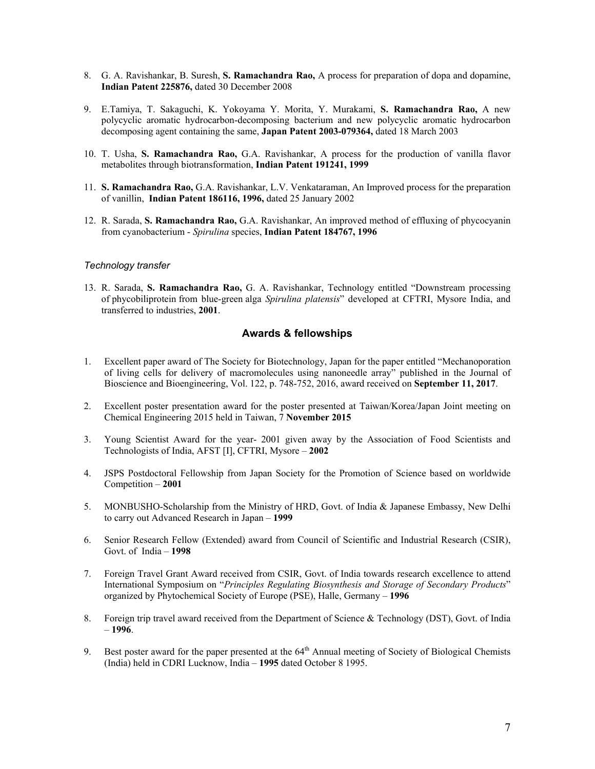- 8. G. A. Ravishankar, B. Suresh, **S. Ramachandra Rao,** A process for preparation of dopa and dopamine, **Indian Patent 225876,** dated 30 December 2008
- 9. E.Tamiya, T. Sakaguchi, K. Yokoyama Y. Morita, Y. Murakami, **S. Ramachandra Rao,** A new polycyclic aromatic hydrocarbon-decomposing bacterium and new polycyclic aromatic hydrocarbon decomposing agent containing the same, **Japan Patent 2003-079364,** dated 18 March 2003
- 10. T. Usha, **S. Ramachandra Rao,** G.A. Ravishankar, A process for the production of vanilla flavor metabolites through biotransformation, **Indian Patent 191241, 1999**
- 11. **S. Ramachandra Rao,** G.A. Ravishankar, L.V. Venkataraman, An Improved process for the preparation of vanillin, **Indian Patent 186116, 1996,** dated 25 January 2002
- 12. R. Sarada, **S. Ramachandra Rao,** G.A. Ravishankar, An improved method of effluxing of phycocyanin from cyanobacterium - *Spirulina* species, **Indian Patent 184767, 1996**

#### *Technology transfer*

13. R. Sarada, **S. Ramachandra Rao,** G. A. Ravishankar, Technology entitled "Downstream processing of phycobiliprotein from blue-green alga *Spirulina platensis*" developed at CFTRI, Mysore India, and transferred to industries, **2001**.

# **Awards & fellowships**

- 1. Excellent paper award of The Society for Biotechnology, Japan for the paper entitled "Mechanoporation of living cells for delivery of macromolecules using nanoneedle array" published in the Journal of Bioscience and Bioengineering, Vol. 122, p. 748-752, 2016, award received on **September 11, 2017**.
- 2. Excellent poster presentation award for the poster presented at Taiwan/Korea/Japan Joint meeting on Chemical Engineering 2015 held in Taiwan, 7 **November 2015**
- 3. Young Scientist Award for the year- 2001 given away by the Association of Food Scientists and Technologists of India, AFST [I], CFTRI, Mysore – **2002**
- 4. JSPS Postdoctoral Fellowship from Japan Society for the Promotion of Science based on worldwide Competition – **2001**
- 5. MONBUSHO-Scholarship from the Ministry of HRD, Govt. of India & Japanese Embassy, New Delhi to carry out Advanced Research in Japan – **1999**
- 6. Senior Research Fellow (Extended) award from Council of Scientific and Industrial Research (CSIR), Govt. of India – **1998**
- 7. Foreign Travel Grant Award received from CSIR, Govt. of India towards research excellence to attend International Symposium on "*Principles Regulating Biosynthesis and Storage of Secondary Products*" organized by Phytochemical Society of Europe (PSE), Halle, Germany – **1996**
- 8. Foreign trip travel award received from the Department of Science & Technology (DST), Govt. of India – **1996**.
- 9. Best poster award for the paper presented at the  $64<sup>th</sup>$  Annual meeting of Society of Biological Chemists (India) held in CDRI Lucknow, India – **1995** dated October 8 1995.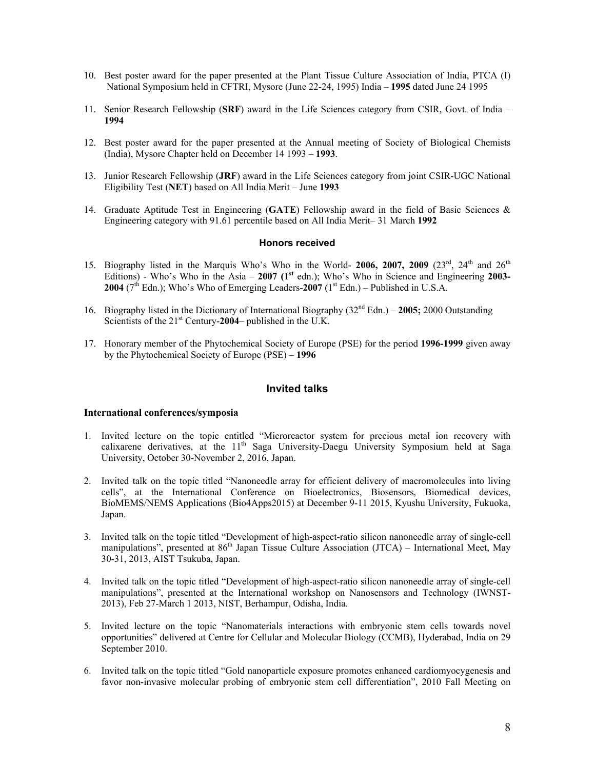- 10. Best poster award for the paper presented at the Plant Tissue Culture Association of India, PTCA (I) National Symposium held in CFTRI, Mysore (June 22-24, 1995) India – **1995** dated June 24 1995
- 11. Senior Research Fellowship (**SRF**) award in the Life Sciences category from CSIR, Govt. of India **1994**
- 12. Best poster award for the paper presented at the Annual meeting of Society of Biological Chemists (India), Mysore Chapter held on December 14 1993 – **1993**.
- 13. Junior Research Fellowship (**JRF**) award in the Life Sciences category from joint CSIR-UGC National Eligibility Test (**NET**) based on All India Merit – June **1993**
- 14. Graduate Aptitude Test in Engineering (**GATE**) Fellowship award in the field of Basic Sciences & Engineering category with 91.61 percentile based on All India Merit– 31 March **1992**

#### **Honors received**

- 15. Biography listed in the Marquis Who's Who in the World- 2006, 2007, 2009  $(23^{rd}, 24^{th})$  and  $26^{th}$ Editions) - Who's Who in the Asia – **2007 (1st** edn.); Who's Who in Science and Engineering **2003- 2004** ( $7<sup>th</sup>$  Edn.); Who's Who of Emerging Leaders-2007 ( $1<sup>st</sup>$  Edn.) – Published in U.S.A.
- 16. Biography listed in the Dictionary of International Biography (32nd Edn.) **2005;** 2000 Outstanding Scientists of the 21st Century-**2004**– published in the U.K.
- 17. Honorary member of the Phytochemical Society of Europe (PSE) for the period **1996-1999** given away by the Phytochemical Society of Europe (PSE) – **1996**

#### **Invited talks**

#### **International conferences/symposia**

- 1. Invited lecture on the topic entitled "Microreactor system for precious metal ion recovery with calixarene derivatives, at the 11<sup>th</sup> Saga University-Daegu University Symposium held at Saga University, October 30-November 2, 2016, Japan.
- 2. Invited talk on the topic titled "Nanoneedle array for efficient delivery of macromolecules into living cells", at the International Conference on Bioelectronics, Biosensors, Biomedical devices, BioMEMS/NEMS Applications (Bio4Apps2015) at December 9-11 2015, Kyushu University, Fukuoka, Japan.
- 3. Invited talk on the topic titled "Development of high-aspect-ratio silicon nanoneedle array of single-cell manipulations", presented at  $86<sup>th</sup>$  Japan Tissue Culture Association (JTCA) – International Meet, May 30-31, 2013, AIST Tsukuba, Japan.
- 4. Invited talk on the topic titled "Development of high-aspect-ratio silicon nanoneedle array of single-cell manipulations", presented at the International workshop on Nanosensors and Technology (IWNST-2013), Feb 27-March 1 2013, NIST, Berhampur, Odisha, India.
- 5. Invited lecture on the topic "Nanomaterials interactions with embryonic stem cells towards novel opportunities" delivered at Centre for Cellular and Molecular Biology (CCMB), Hyderabad, India on 29 September 2010.
- 6. Invited talk on the topic titled "Gold nanoparticle exposure promotes enhanced cardiomyocygenesis and favor non-invasive molecular probing of embryonic stem cell differentiation", 2010 Fall Meeting on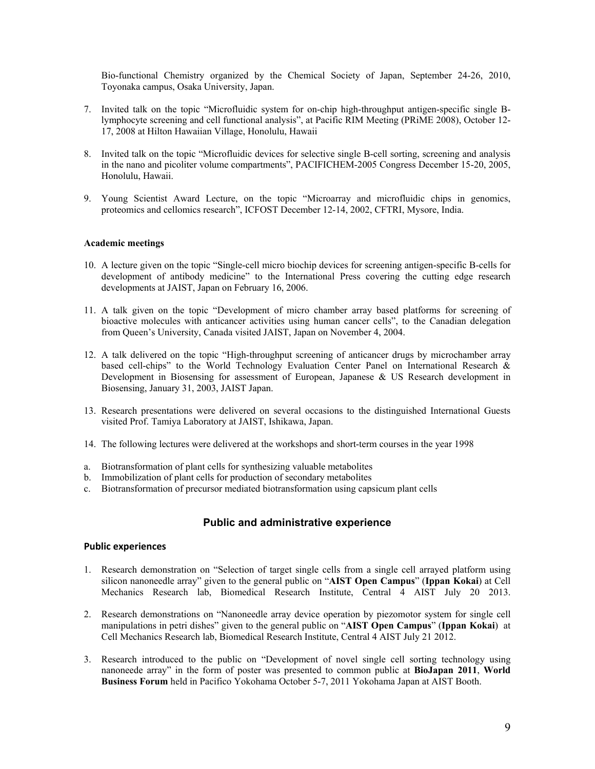Bio-functional Chemistry organized by the Chemical Society of Japan, September 24-26, 2010, Toyonaka campus, Osaka University, Japan.

- 7. Invited talk on the topic "Microfluidic system for on-chip high-throughput antigen-specific single Blymphocyte screening and cell functional analysis", at Pacific RIM Meeting (PRiME 2008), October 12- 17, 2008 at Hilton Hawaiian Village, Honolulu, Hawaii
- 8. Invited talk on the topic "Microfluidic devices for selective single B-cell sorting, screening and analysis in the nano and picoliter volume compartments", PACIFICHEM-2005 Congress December 15-20, 2005, Honolulu, Hawaii.
- 9. Young Scientist Award Lecture, on the topic "Microarray and microfluidic chips in genomics, proteomics and cellomics research", ICFOST December 12-14, 2002, CFTRI, Mysore, India.

#### **Academic meetings**

- 10. A lecture given on the topic "Single-cell micro biochip devices for screening antigen-specific B-cells for development of antibody medicine" to the International Press covering the cutting edge research developments at JAIST, Japan on February 16, 2006.
- 11. A talk given on the topic "Development of micro chamber array based platforms for screening of bioactive molecules with anticancer activities using human cancer cells", to the Canadian delegation from Queen's University, Canada visited JAIST, Japan on November 4, 2004.
- 12. A talk delivered on the topic "High-throughput screening of anticancer drugs by microchamber array based cell-chips" to the World Technology Evaluation Center Panel on International Research & Development in Biosensing for assessment of European, Japanese & US Research development in Biosensing, January 31, 2003, JAIST Japan.
- 13. Research presentations were delivered on several occasions to the distinguished International Guests visited Prof. Tamiya Laboratory at JAIST, Ishikawa, Japan.
- 14. The following lectures were delivered at the workshops and short-term courses in the year 1998
- a. Biotransformation of plant cells for synthesizing valuable metabolites
- b. Immobilization of plant cells for production of secondary metabolites
- c. Biotransformation of precursor mediated biotransformation using capsicum plant cells

# **Public and administrative experience**

#### **Public experiences**

- 1. Research demonstration on "Selection of target single cells from a single cell arrayed platform using silicon nanoneedle array" given to the general public on "**AIST Open Campus**" (**Ippan Kokai**) at Cell Mechanics Research lab, Biomedical Research Institute, Central 4 AIST July 20 2013.
- 2. Research demonstrations on "Nanoneedle array device operation by piezomotor system for single cell manipulations in petri dishes" given to the general public on "**AIST Open Campus**" (**Ippan Kokai**) at Cell Mechanics Research lab, Biomedical Research Institute, Central 4 AIST July 21 2012.
- 3. Research introduced to the public on "Development of novel single cell sorting technology using nanoneede array" in the form of poster was presented to common public at **BioJapan 2011**, **World Business Forum** held in Pacifico Yokohama October 5-7, 2011 Yokohama Japan at AIST Booth.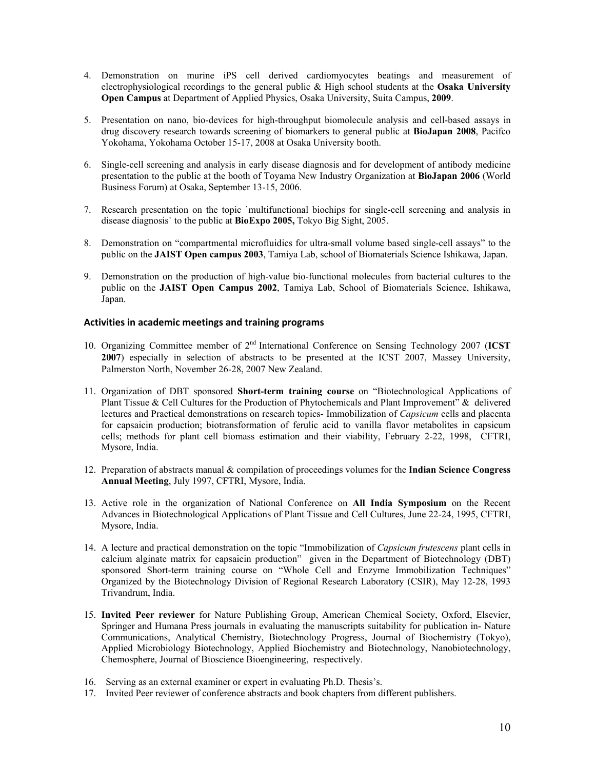- 4. Demonstration on murine iPS cell derived cardiomyocytes beatings and measurement of electrophysiological recordings to the general public & High school students at the **Osaka University Open Campus** at Department of Applied Physics, Osaka University, Suita Campus, **2009**.
- 5. Presentation on nano, bio-devices for high-throughput biomolecule analysis and cell-based assays in drug discovery research towards screening of biomarkers to general public at **BioJapan 2008**, Pacifco Yokohama, Yokohama October 15-17, 2008 at Osaka University booth.
- 6. Single-cell screening and analysis in early disease diagnosis and for development of antibody medicine presentation to the public at the booth of Toyama New Industry Organization at **BioJapan 2006** (World Business Forum) at Osaka, September 13-15, 2006.
- 7. Research presentation on the topic `multifunctional biochips for single-cell screening and analysis in disease diagnosis` to the public at **BioExpo 2005,** Tokyo Big Sight, 2005.
- 8. Demonstration on "compartmental microfluidics for ultra-small volume based single-cell assays" to the public on the **JAIST Open campus 2003**, Tamiya Lab, school of Biomaterials Science Ishikawa, Japan.
- 9. Demonstration on the production of high-value bio-functional molecules from bacterial cultures to the public on the **JAIST Open Campus 2002**, Tamiya Lab, School of Biomaterials Science, Ishikawa, Japan.

# **Activities in academic meetings and training programs**

- 10. Organizing Committee member of 2nd International Conference on Sensing Technology 2007 (**ICST 2007**) especially in selection of abstracts to be presented at the ICST 2007, Massey University, Palmerston North, November 26-28, 2007 New Zealand.
- 11. Organization of DBT sponsored **Short-term training course** on "Biotechnological Applications of Plant Tissue & Cell Cultures for the Production of Phytochemicals and Plant Improvement" & delivered lectures and Practical demonstrations on research topics- Immobilization of *Capsicum* cells and placenta for capsaicin production; biotransformation of ferulic acid to vanilla flavor metabolites in capsicum cells; methods for plant cell biomass estimation and their viability, February 2-22, 1998, CFTRI, Mysore, India.
- 12. Preparation of abstracts manual & compilation of proceedings volumes for the **Indian Science Congress Annual Meeting**, July 1997, CFTRI, Mysore, India.
- 13. Active role in the organization of National Conference on **All India Symposium** on the Recent Advances in Biotechnological Applications of Plant Tissue and Cell Cultures, June 22-24, 1995, CFTRI, Mysore, India.
- 14. A lecture and practical demonstration on the topic "Immobilization of *Capsicum frutescens* plant cells in calcium alginate matrix for capsaicin production" given in the Department of Biotechnology (DBT) sponsored Short-term training course on "Whole Cell and Enzyme Immobilization Techniques" Organized by the Biotechnology Division of Regional Research Laboratory (CSIR), May 12-28, 1993 Trivandrum, India.
- 15. **Invited Peer reviewer** for Nature Publishing Group, American Chemical Society, Oxford, Elsevier, Springer and Humana Press journals in evaluating the manuscripts suitability for publication in- Nature Communications, Analytical Chemistry, Biotechnology Progress, Journal of Biochemistry (Tokyo), Applied Microbiology Biotechnology, Applied Biochemistry and Biotechnology, Nanobiotechnology, Chemosphere, Journal of Bioscience Bioengineering, respectively.
- 16. Serving as an external examiner or expert in evaluating Ph.D. Thesis's.
- 17. Invited Peer reviewer of conference abstracts and book chapters from different publishers.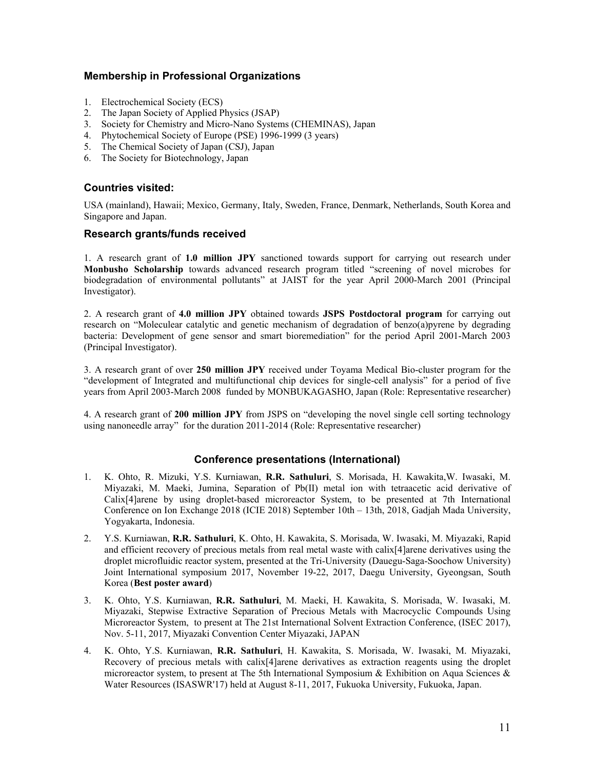# **Membership in Professional Organizations**

- 1. Electrochemical Society (ECS)
- 2. The Japan Society of Applied Physics (JSAP)
- 3. Society for Chemistry and Micro-Nano Systems (CHEMINAS), Japan
- 4. Phytochemical Society of Europe (PSE) 1996-1999 (3 years)
- 5. The Chemical Society of Japan (CSJ), Japan
- 6. The Society for Biotechnology, Japan

# **Countries visited:**

USA (mainland), Hawaii; Mexico, Germany, Italy, Sweden, France, Denmark, Netherlands, South Korea and Singapore and Japan.

# **Research grants/funds received**

1. A research grant of **1.0 million JPY** sanctioned towards support for carrying out research under **Monbusho Scholarship** towards advanced research program titled "screening of novel microbes for biodegradation of environmental pollutants" at JAIST for the year April 2000-March 2001 (Principal Investigator).

2. A research grant of **4.0 million JPY** obtained towards **JSPS Postdoctoral program** for carrying out research on "Moleculear catalytic and genetic mechanism of degradation of benzo(a)pyrene by degrading bacteria: Development of gene sensor and smart bioremediation" for the period April 2001-March 2003 (Principal Investigator).

3. A research grant of over **250 million JPY** received under Toyama Medical Bio-cluster program for the "development of Integrated and multifunctional chip devices for single-cell analysis" for a period of five years from April 2003-March 2008 funded by MONBUKAGASHO, Japan (Role: Representative researcher)

4. A research grant of **200 million JPY** from JSPS on "developing the novel single cell sorting technology using nanoneedle array" for the duration 2011-2014 (Role: Representative researcher)

# **Conference presentations (International)**

- 1. K. Ohto, R. Mizuki, Y.S. Kurniawan, **R.R. Sathuluri**, S. Morisada, H. Kawakita,W. Iwasaki, M. Miyazaki, M. Maeki, Jumina, Separation of Pb(II) metal ion with tetraacetic acid derivative of Calix[4]arene by using droplet-based microreactor System, to be presented at 7th International Conference on Ion Exchange 2018 (ICIE 2018) September 10th – 13th, 2018, Gadjah Mada University, Yogyakarta, Indonesia.
- 2. Y.S. Kurniawan, **R.R. Sathuluri**, K. Ohto, H. Kawakita, S. Morisada, W. Iwasaki, M. Miyazaki, Rapid and efficient recovery of precious metals from real metal waste with calix[4]arene derivatives using the droplet microfluidic reactor system, presented at the Tri-University (Dauegu-Saga-Soochow University) Joint International symposium 2017, November 19-22, 2017, Daegu University, Gyeongsan, South Korea (**Best poster award**)
- 3. K. Ohto, Y.S. Kurniawan, **R.R. Sathuluri**, M. Maeki, H. Kawakita, S. Morisada, W. Iwasaki, M. Miyazaki, Stepwise Extractive Separation of Precious Metals with Macrocyclic Compounds Using Microreactor System, to present at The 21st International Solvent Extraction Conference, (ISEC 2017), Nov. 5-11, 2017, Miyazaki Convention Center Miyazaki, JAPAN
- 4. K. Ohto, Y.S. Kurniawan, **R.R. Sathuluri**, H. Kawakita, S. Morisada, W. Iwasaki, M. Miyazaki, Recovery of precious metals with calix[4]arene derivatives as extraction reagents using the droplet microreactor system, to present at The 5th International Symposium & Exhibition on Aqua Sciences & Water Resources (ISASWR'17) held at August 8-11, 2017, Fukuoka University, Fukuoka, Japan.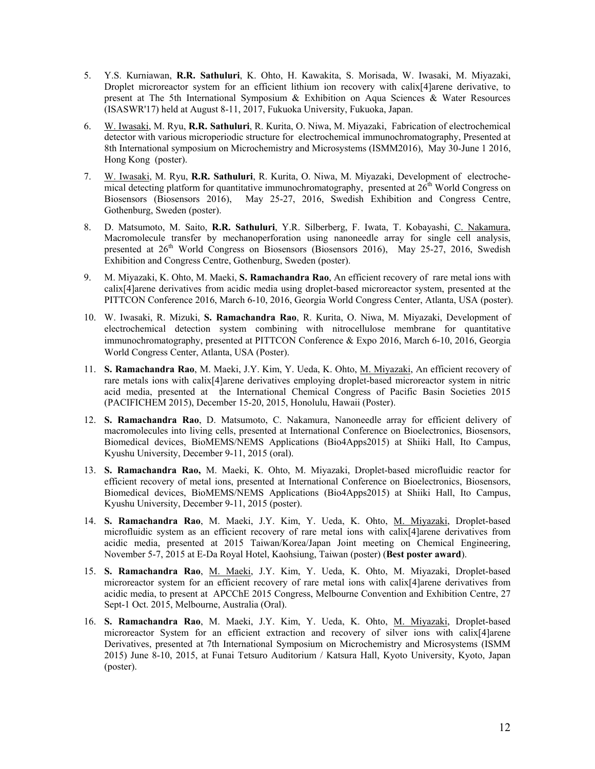- 5. Y.S. Kurniawan, **R.R. Sathuluri**, K. Ohto, H. Kawakita, S. Morisada, W. Iwasaki, M. Miyazaki, Droplet microreactor system for an efficient lithium ion recovery with calix[4]arene derivative, to present at The 5th International Symposium & Exhibition on Aqua Sciences & Water Resources (ISASWR'17) held at August 8-11, 2017, Fukuoka University, Fukuoka, Japan.
- 6. W. Iwasaki, M. Ryu, **R.R. Sathuluri**, R. Kurita, O. Niwa, M. Miyazaki, Fabrication of electrochemical detector with various microperiodic structure for electrochemical immunochromatography, Presented at 8th International symposium on Microchemistry and Microsystems (ISMM2016), May 30-June 1 2016, Hong Kong (poster).
- 7. W. Iwasaki, M. Ryu, **R.R. Sathuluri**, R. Kurita, O. Niwa, M. Miyazaki, Development of electrochemical detecting platform for quantitative immunochromatography, presented at 26<sup>th</sup> World Congress on Biosensors (Biosensors 2016), May 25-27, 2016, Swedish Exhibition and Congress Centre, Gothenburg, Sweden (poster).
- 8. D. Matsumoto, M. Saito, **R.R. Sathuluri**, Y.R. Silberberg, F. Iwata, T. Kobayashi, C. Nakamura, Macromolecule transfer by mechanoperforation using nanoneedle array for single cell analysis, presented at  $26<sup>th</sup>$  World Congress on Biosensors (Biosensors 2016), May 25-27, 2016, Swedish Exhibition and Congress Centre, Gothenburg, Sweden (poster).
- 9. M. Miyazaki, K. Ohto, M. Maeki, **S. Ramachandra Rao**, An efficient recovery of rare metal ions with calix[4]arene derivatives from acidic media using droplet-based microreactor system, presented at the PITTCON Conference 2016, March 6-10, 2016, Georgia World Congress Center, Atlanta, USA (poster).
- 10. W. Iwasaki, R. Mizuki, **S. Ramachandra Rao**, R. Kurita, O. Niwa, M. Miyazaki, Development of electrochemical detection system combining with nitrocellulose membrane for quantitative immunochromatography, presented at PITTCON Conference & Expo 2016, March 6-10, 2016, Georgia World Congress Center, Atlanta, USA (Poster).
- 11. **S. Ramachandra Rao**, M. Maeki, J.Y. Kim, Y. Ueda, K. Ohto, M. Miyazaki, An efficient recovery of rare metals ions with calix[4]arene derivatives employing droplet-based microreactor system in nitric acid media, presented at the International Chemical Congress of Pacific Basin Societies 2015 (PACIFICHEM 2015), December 15-20, 2015, Honolulu, Hawaii (Poster).
- 12. **S. Ramachandra Rao**, D. Matsumoto, C. Nakamura, Nanoneedle array for efficient delivery of macromolecules into living cells, presented at International Conference on Bioelectronics, Biosensors, Biomedical devices, BioMEMS/NEMS Applications (Bio4Apps2015) at Shiiki Hall, Ito Campus, Kyushu University, December 9-11, 2015 (oral).
- 13. **S. Ramachandra Rao,** M. Maeki, K. Ohto, M. Miyazaki, Droplet-based microfluidic reactor for efficient recovery of metal ions, presented at International Conference on Bioelectronics, Biosensors, Biomedical devices, BioMEMS/NEMS Applications (Bio4Apps2015) at Shiiki Hall, Ito Campus, Kyushu University, December 9-11, 2015 (poster).
- 14. **S. Ramachandra Rao**, M. Maeki, J.Y. Kim, Y. Ueda, K. Ohto, M. Miyazaki, Droplet-based microfluidic system as an efficient recovery of rare metal ions with calix[4]arene derivatives from acidic media, presented at 2015 Taiwan/Korea/Japan Joint meeting on Chemical Engineering, November 5-7, 2015 at E-Da Royal Hotel, Kaohsiung, Taiwan (poster) (**Best poster award**).
- 15. **S. Ramachandra Rao**, M. Maeki, J.Y. Kim, Y. Ueda, K. Ohto, M. Miyazaki, Droplet-based microreactor system for an efficient recovery of rare metal ions with calix[4]arene derivatives from acidic media, to present at APCChE 2015 Congress, Melbourne Convention and Exhibition Centre, 27 Sept-1 Oct. 2015, Melbourne, Australia (Oral).
- 16. **S. Ramachandra Rao**, M. Maeki, J.Y. Kim, Y. Ueda, K. Ohto, M. Miyazaki, Droplet-based microreactor System for an efficient extraction and recovery of silver ions with calix[4]arene Derivatives, presented at 7th International Symposium on Microchemistry and Microsystems (ISMM 2015) June 8-10, 2015, at Funai Tetsuro Auditorium / Katsura Hall, Kyoto University, Kyoto, Japan (poster).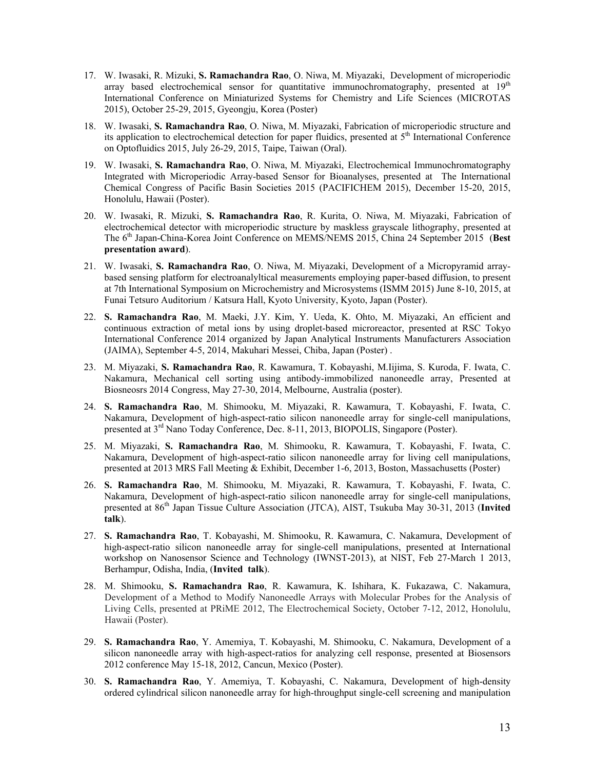- 17. W. Iwasaki, R. Mizuki, **S. Ramachandra Rao**, O. Niwa, M. Miyazaki, Development of microperiodic array based electrochemical sensor for quantitative immunochromatography, presented at  $19<sup>th</sup>$ International Conference on Miniaturized Systems for Chemistry and Life Sciences (MICROTAS 2015), October 25-29, 2015, Gyeongju, Korea (Poster)
- 18. W. Iwasaki, **S. Ramachandra Rao**, O. Niwa, M. Miyazaki, Fabrication of microperiodic structure and its application to electrochemical detection for paper fluidics, presented at 5<sup>th</sup> International Conference on Optofluidics 2015, July 26-29, 2015, Taipe, Taiwan (Oral).
- 19. W. Iwasaki, **S. Ramachandra Rao**, O. Niwa, M. Miyazaki, Electrochemical Immunochromatography Integrated with Microperiodic Array-based Sensor for Bioanalyses, presented at The International Chemical Congress of Pacific Basin Societies 2015 (PACIFICHEM 2015), December 15-20, 2015, Honolulu, Hawaii (Poster).
- 20. W. Iwasaki, R. Mizuki, **S. Ramachandra Rao**, R. Kurita, O. Niwa, M. Miyazaki, Fabrication of electrochemical detector with microperiodic structure by maskless grayscale lithography, presented at The 6th Japan-China-Korea Joint Conference on MEMS/NEMS 2015, China 24 September 2015 (**Best presentation award**).
- 21. W. Iwasaki, **S. Ramachandra Rao**, O. Niwa, M. Miyazaki, Development of a Micropyramid arraybased sensing platform for electroanalyltical measurements employing paper-based diffusion, to present at 7th International Symposium on Microchemistry and Microsystems (ISMM 2015) June 8-10, 2015, at Funai Tetsuro Auditorium / Katsura Hall, Kyoto University, Kyoto, Japan (Poster).
- 22. **S. Ramachandra Rao**, M. Maeki, J.Y. Kim, Y. Ueda, K. Ohto, M. Miyazaki, An efficient and continuous extraction of metal ions by using droplet-based microreactor, presented at RSC Tokyo International Conference 2014 organized by Japan Analytical Instruments Manufacturers Association (JAIMA), September 4-5, 2014, Makuhari Messei, Chiba, Japan (Poster) .
- 23. M. Miyazaki, **S. Ramachandra Rao**, R. Kawamura, T. Kobayashi, M.Iijima, S. Kuroda, F. Iwata, C. Nakamura, Mechanical cell sorting using antibody-immobilized nanoneedle array, Presented at Biosneosrs 2014 Congress, May 27-30, 2014, Melbourne, Australia (poster).
- 24. **S. Ramachandra Rao**, M. Shimooku, M. Miyazaki, R. Kawamura, T. Kobayashi, F. Iwata, C. Nakamura, Development of high-aspect-ratio silicon nanoneedle array for single-cell manipulations, presented at 3rd Nano Today Conference, Dec. 8-11, 2013, BIOPOLIS, Singapore (Poster).
- 25. M. Miyazaki, **S. Ramachandra Rao**, M. Shimooku, R. Kawamura, T. Kobayashi, F. Iwata, C. Nakamura, Development of high-aspect-ratio silicon nanoneedle array for living cell manipulations, presented at 2013 MRS Fall Meeting & Exhibit, December 1-6, 2013, Boston, Massachusetts (Poster)
- 26. **S. Ramachandra Rao**, M. Shimooku, M. Miyazaki, R. Kawamura, T. Kobayashi, F. Iwata, C. Nakamura, Development of high-aspect-ratio silicon nanoneedle array for single-cell manipulations, presented at 86th Japan Tissue Culture Association (JTCA), AIST, Tsukuba May 30-31, 2013 (**Invited talk**).
- 27. **S. Ramachandra Rao**, T. Kobayashi, M. Shimooku, R. Kawamura, C. Nakamura, Development of high-aspect-ratio silicon nanoneedle array for single-cell manipulations, presented at International workshop on Nanosensor Science and Technology (IWNST-2013), at NIST, Feb 27-March 1 2013, Berhampur, Odisha, India, (**Invited talk**).
- 28. M. Shimooku, **S. Ramachandra Rao**, R. Kawamura, K. Ishihara, K. Fukazawa, C. Nakamura, Development of a Method to Modify Nanoneedle Arrays with Molecular Probes for the Analysis of Living Cells, presented at PRiME 2012, The Electrochemical Society, October 7-12, 2012, Honolulu, Hawaii (Poster).
- 29. **S. Ramachandra Rao**, Y. Amemiya, T. Kobayashi, M. Shimooku, C. Nakamura, Development of a silicon nanoneedle array with high-aspect-ratios for analyzing cell response, presented at Biosensors 2012 conference May 15-18, 2012, Cancun, Mexico (Poster).
- 30. **S. Ramachandra Rao**, Y. Amemiya, T. Kobayashi, C. Nakamura, Development of high-density ordered cylindrical silicon nanoneedle array for high-throughput single-cell screening and manipulation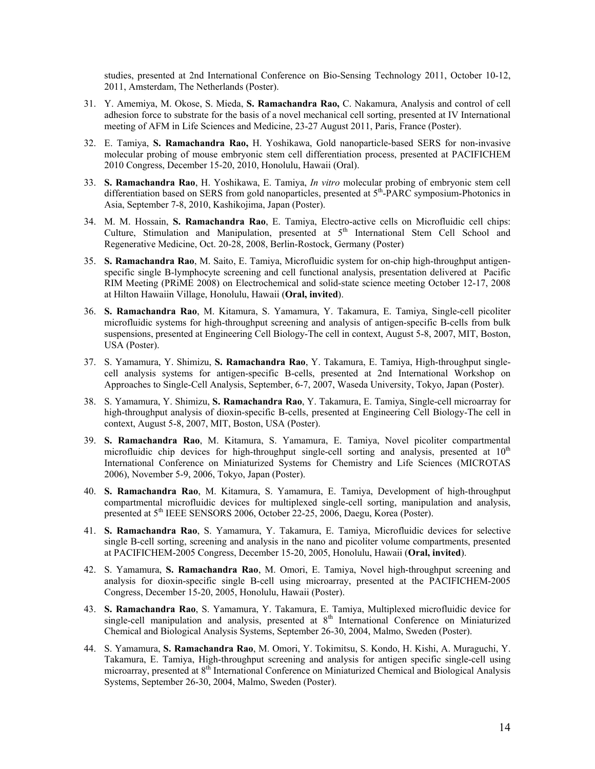studies, presented at 2nd International Conference on Bio-Sensing Technology 2011, October 10-12, 2011, Amsterdam, The Netherlands (Poster).

- 31. Y. Amemiya, M. Okose, S. Mieda, **S. Ramachandra Rao,** C. Nakamura, Analysis and control of cell adhesion force to substrate for the basis of a novel mechanical cell sorting, presented at IV International meeting of AFM in Life Sciences and Medicine, 23-27 August 2011, Paris, France (Poster).
- 32. E. Tamiya, **S. Ramachandra Rao,** H. Yoshikawa, Gold nanoparticle-based SERS for non-invasive molecular probing of mouse embryonic stem cell differentiation process, presented at PACIFICHEM 2010 Congress, December 15-20, 2010, Honolulu, Hawaii (Oral).
- 33. **S. Ramachandra Rao**, H. Yoshikawa, E. Tamiya, *In vitro* molecular probing of embryonic stem cell differentiation based on SERS from gold nanoparticles, presented at  $5<sup>th</sup>$ -PARC symposium-Photonics in Asia, September 7-8, 2010, Kashikojima, Japan (Poster).
- 34. M. M. Hossain, **S. Ramachandra Rao**, E. Tamiya, Electro-active cells on Microfluidic cell chips: Culture, Stimulation and Manipulation, presented at 5<sup>th</sup> International Stem Cell School and Regenerative Medicine, Oct. 20-28, 2008, Berlin-Rostock, Germany (Poster)
- 35. **S. Ramachandra Rao**, M. Saito, E. Tamiya, Microfluidic system for on-chip high-throughput antigenspecific single B-lymphocyte screening and cell functional analysis, presentation delivered at Pacific RIM Meeting (PRiME 2008) on Electrochemical and solid-state science meeting October 12-17, 2008 at Hilton Hawaiin Village, Honolulu, Hawaii (**Oral, invited**).
- 36. **S. Ramachandra Rao**, M. Kitamura, S. Yamamura, Y. Takamura, E. Tamiya, Single-cell picoliter microfluidic systems for high-throughput screening and analysis of antigen-specific B-cells from bulk suspensions, presented at Engineering Cell Biology-The cell in context, August 5-8, 2007, MIT, Boston, USA (Poster).
- 37. S. Yamamura, Y. Shimizu, **S. Ramachandra Rao**, Y. Takamura, E. Tamiya, High-throughput singlecell analysis systems for antigen-specific B-cells, presented at 2nd International Workshop on Approaches to Single-Cell Analysis, September, 6-7, 2007, Waseda University, Tokyo, Japan (Poster).
- 38. S. Yamamura, Y. Shimizu, **S. Ramachandra Rao**, Y. Takamura, E. Tamiya, Single-cell microarray for high-throughput analysis of dioxin-specific B-cells, presented at Engineering Cell Biology-The cell in context, August 5-8, 2007, MIT, Boston, USA (Poster).
- 39. **S. Ramachandra Rao**, M. Kitamura, S. Yamamura, E. Tamiya, Novel picoliter compartmental microfluidic chip devices for high-throughput single-cell sorting and analysis, presented at  $10<sup>th</sup>$ International Conference on Miniaturized Systems for Chemistry and Life Sciences (MICROTAS 2006), November 5-9, 2006, Tokyo, Japan (Poster).
- 40. **S. Ramachandra Rao**, M. Kitamura, S. Yamamura, E. Tamiya, Development of high-throughput compartmental microfluidic devices for multiplexed single-cell sorting, manipulation and analysis, presented at 5<sup>th</sup> IEEE SENSORS 2006, October 22-25, 2006, Daegu, Korea (Poster).
- 41. **S. Ramachandra Rao**, S. Yamamura, Y. Takamura, E. Tamiya, Microfluidic devices for selective single B-cell sorting, screening and analysis in the nano and picoliter volume compartments, presented at PACIFICHEM-2005 Congress, December 15-20, 2005, Honolulu, Hawaii (**Oral, invited**).
- 42. S. Yamamura, **S. Ramachandra Rao**, M. Omori, E. Tamiya, Novel high-throughput screening and analysis for dioxin-specific single B-cell using microarray, presented at the PACIFICHEM-2005 Congress, December 15-20, 2005, Honolulu, Hawaii (Poster).
- 43. **S. Ramachandra Rao**, S. Yamamura, Y. Takamura, E. Tamiya, Multiplexed microfluidic device for single-cell manipulation and analysis, presented at  $8<sup>th</sup>$  International Conference on Miniaturized Chemical and Biological Analysis Systems, September 26-30, 2004, Malmo, Sweden (Poster).
- 44. S. Yamamura, **S. Ramachandra Rao**, M. Omori, Y. Tokimitsu, S. Kondo, H. Kishi, A. Muraguchi, Y. Takamura, E. Tamiya, High-throughput screening and analysis for antigen specific single-cell using microarray, presented at 8<sup>th</sup> International Conference on Miniaturized Chemical and Biological Analysis Systems, September 26-30, 2004, Malmo, Sweden (Poster).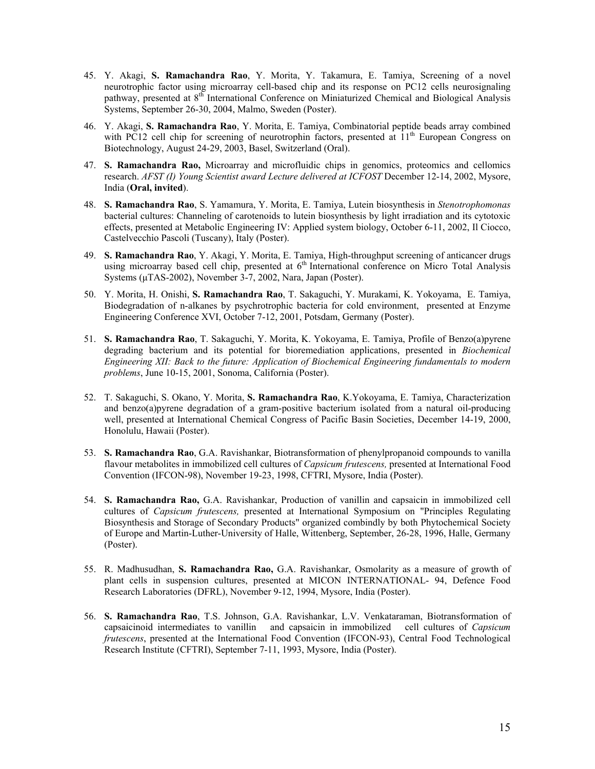- 45. Y. Akagi, **S. Ramachandra Rao**, Y. Morita, Y. Takamura, E. Tamiya, Screening of a novel neurotrophic factor using microarray cell-based chip and its response on PC12 cells neurosignaling pathway, presented at 8<sup>th</sup> International Conference on Miniaturized Chemical and Biological Analysis Systems, September 26-30, 2004, Malmo, Sweden (Poster).
- 46. Y. Akagi, **S. Ramachandra Rao**, Y. Morita, E. Tamiya, Combinatorial peptide beads array combined with PC12 cell chip for screening of neurotrophin factors, presented at 11<sup>th</sup> European Congress on Biotechnology, August 24-29, 2003, Basel, Switzerland (Oral).
- 47. **S. Ramachandra Rao,** Microarray and microfluidic chips in genomics, proteomics and cellomics research. *AFST (I) Young Scientist award Lecture delivered at ICFOST* December 12-14, 2002, Mysore, India (**Oral, invited**).
- 48. **S. Ramachandra Rao**, S. Yamamura, Y. Morita, E. Tamiya, Lutein biosynthesis in *Stenotrophomonas* bacterial cultures: Channeling of carotenoids to lutein biosynthesis by light irradiation and its cytotoxic effects, presented at Metabolic Engineering IV: Applied system biology, October 6-11, 2002, Il Ciocco, Castelvecchio Pascoli (Tuscany), Italy (Poster).
- 49. **S. Ramachandra Rao**, Y. Akagi, Y. Morita, E. Tamiya, High-throughput screening of anticancer drugs using microarray based cell chip, presented at 6<sup>th</sup> International conference on Micro Total Analysis Systems (μTAS-2002), November 3-7, 2002, Nara, Japan (Poster).
- 50. Y. Morita, H. Onishi, **S. Ramachandra Rao**, T. Sakaguchi, Y. Murakami, K. Yokoyama, E. Tamiya, Biodegradation of n-alkanes by psychrotrophic bacteria for cold environment, presented at Enzyme Engineering Conference XVI, October 7-12, 2001, Potsdam, Germany (Poster).
- 51. **S. Ramachandra Rao**, T. Sakaguchi, Y. Morita, K. Yokoyama, E. Tamiya, Profile of Benzo(a)pyrene degrading bacterium and its potential for bioremediation applications, presented in *Biochemical Engineering XII: Back to the future: Application of Biochemical Engineering fundamentals to modern problems*, June 10-15, 2001, Sonoma, California (Poster).
- 52. T. Sakaguchi, S. Okano, Y. Morita, **S. Ramachandra Rao**, K.Yokoyama, E. Tamiya, Characterization and benzo(a)pyrene degradation of a gram-positive bacterium isolated from a natural oil-producing well, presented at International Chemical Congress of Pacific Basin Societies, December 14-19, 2000, Honolulu, Hawaii (Poster).
- 53. **S. Ramachandra Rao**, G.A. Ravishankar, Biotransformation of phenylpropanoid compounds to vanilla flavour metabolites in immobilized cell cultures of *Capsicum frutescens,* presented at International Food Convention (IFCON-98), November 19-23, 1998, CFTRI, Mysore, India (Poster).
- 54. **S. Ramachandra Rao,** G.A. Ravishankar, Production of vanillin and capsaicin in immobilized cell cultures of *Capsicum frutescens,* presented at International Symposium on "Principles Regulating Biosynthesis and Storage of Secondary Products" organized combindly by both Phytochemical Society of Europe and Martin-Luther-University of Halle, Wittenberg, September, 26-28, 1996, Halle, Germany (Poster).
- 55. R. Madhusudhan, **S. Ramachandra Rao,** G.A. Ravishankar, Osmolarity as a measure of growth of plant cells in suspension cultures, presented at MICON INTERNATIONAL- 94, Defence Food Research Laboratories (DFRL), November 9-12, 1994, Mysore, India (Poster).
- 56. **S. Ramachandra Rao**, T.S. Johnson, G.A. Ravishankar, L.V. Venkataraman, Biotransformation of capsaicinoid intermediates to vanillin and capsaicin in immobilized cell cultures of *Capsicum frutescens*, presented at the International Food Convention (IFCON-93), Central Food Technological Research Institute (CFTRI), September 7-11, 1993, Mysore, India (Poster).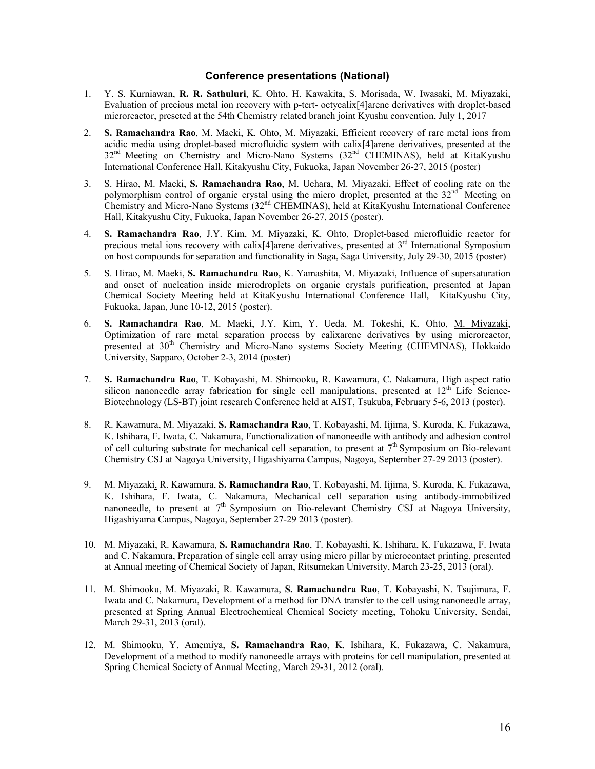#### **Conference presentations (National)**

- 1. Y. S. Kurniawan, **R. R. Sathuluri**, K. Ohto, H. Kawakita, S. Morisada, W. Iwasaki, M. Miyazaki, Evaluation of precious metal ion recovery with p-tert- octycalix[4]arene derivatives with droplet-based microreactor, preseted at the 54th Chemistry related branch joint Kyushu convention, July 1, 2017
- 2. **S. Ramachandra Rao**, M. Maeki, K. Ohto, M. Miyazaki, Efficient recovery of rare metal ions from acidic media using droplet-based microfluidic system with calix[4]arene derivatives, presented at the 32<sup>nd</sup> Meeting on Chemistry and Micro-Nano Systems (32<sup>nd</sup> CHEMINAS), held at KitaKyushu International Conference Hall, Kitakyushu City, Fukuoka, Japan November 26-27, 2015 (poster)
- 3. S. Hirao, M. Maeki, **S. Ramachandra Rao**, M. Uehara, M. Miyazaki, Effect of cooling rate on the polymorphism control of organic crystal using the micro droplet, presented at the  $32<sup>nd</sup>$  Meeting on Chemistry and Micro-Nano Systems (32nd CHEMINAS), held at KitaKyushu International Conference Hall, Kitakyushu City, Fukuoka, Japan November 26-27, 2015 (poster).
- 4. **S. Ramachandra Rao**, J.Y. Kim, M. Miyazaki, K. Ohto, Droplet-based microfluidic reactor for precious metal ions recovery with calix[4]arene derivatives, presented at  $3<sup>rd</sup>$  International Symposium on host compounds for separation and functionality in Saga, Saga University, July 29-30, 2015 (poster)
- 5. S. Hirao, M. Maeki, **S. Ramachandra Rao**, K. Yamashita, M. Miyazaki, Influence of supersaturation and onset of nucleation inside microdroplets on organic crystals purification, presented at Japan Chemical Society Meeting held at KitaKyushu International Conference Hall, KitaKyushu City, Fukuoka, Japan, June 10-12, 2015 (poster).
- 6. **S. Ramachandra Rao**, M. Maeki, J.Y. Kim, Y. Ueda, M. Tokeshi, K. Ohto, M. Miyazaki, Optimization of rare metal separation process by calixarene derivatives by using microreactor, presented at 30<sup>th</sup> Chemistry and Micro-Nano systems Society Meeting (CHEMINAS), Hokkaido University, Sapparo, October 2-3, 2014 (poster)
- 7. **S. Ramachandra Rao**, T. Kobayashi, M. Shimooku, R. Kawamura, C. Nakamura, High aspect ratio silicon nanoneedle array fabrication for single cell manipulations, presented at  $12<sup>th</sup>$  Life Science-Biotechnology (LS-BT) joint research Conference held at AIST, Tsukuba, February 5-6, 2013 (poster).
- 8. R. Kawamura, M. Miyazaki, **S. Ramachandra Rao**, T. Kobayashi, M. Iijima, S. Kuroda, K. Fukazawa, K. Ishihara, F. Iwata, C. Nakamura, Functionalization of nanoneedle with antibody and adhesion control of cell culturing substrate for mechanical cell separation, to present at  $7<sup>th</sup>$  Symposium on Bio-relevant Chemistry CSJ at Nagoya University, Higashiyama Campus, Nagoya, September 27-29 2013 (poster).
- 9. M. Miyazaki, R. Kawamura, **S. Ramachandra Rao**, T. Kobayashi, M. Iijima, S. Kuroda, K. Fukazawa, K. Ishihara, F. Iwata, C. Nakamura, Mechanical cell separation using antibody-immobilized nanoneedle, to present at  $7<sup>th</sup>$  Symposium on Bio-relevant Chemistry CSJ at Nagoya University, Higashiyama Campus, Nagoya, September 27-29 2013 (poster).
- 10. M. Miyazaki, R. Kawamura, **S. Ramachandra Rao**, T. Kobayashi, K. Ishihara, K. Fukazawa, F. Iwata and C. Nakamura, Preparation of single cell array using micro pillar by microcontact printing, presented at Annual meeting of Chemical Society of Japan, Ritsumekan University, March 23-25, 2013 (oral).
- 11. M. Shimooku, M. Miyazaki, R. Kawamura, **S. Ramachandra Rao**, T. Kobayashi, N. Tsujimura, F. Iwata and C. Nakamura, Development of a method for DNA transfer to the cell using nanoneedle array, presented at Spring Annual Electrochemical Chemical Society meeting, Tohoku University, Sendai, March 29-31, 2013 (oral).
- 12. M. Shimooku, Y. Amemiya, **S. Ramachandra Rao**, K. Ishihara, K. Fukazawa, C. Nakamura, Development of a method to modify nanoneedle arrays with proteins for cell manipulation, presented at Spring Chemical Society of Annual Meeting, March 29-31, 2012 (oral).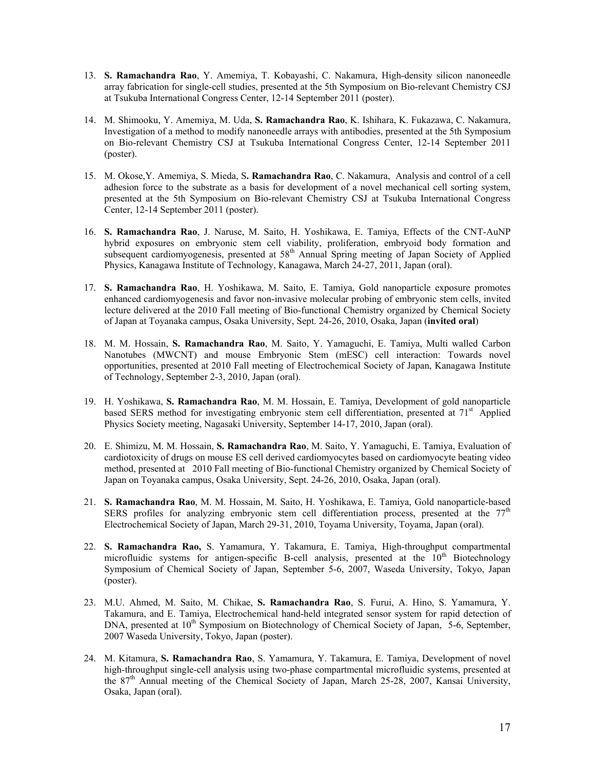- 13. **S. Ramachandra Rao**, Y. Amemiya, T. Kobayashi, C. Nakamura, High-density silicon nanoneedle array fabrication for single-cell studies, presented at the 5th Symposium on Bio-relevant Chemistry CSJ at Tsukuba International Congress Center, 12-14 September 2011 (poster).
- 14. M. Shimooku, Y. Amemiya, M. Uda, **S. Ramachandra Rao**, K. Ishihara, K. Fukazawa, C. Nakamura, Investigation of a method to modify nanoneedle arrays with antibodies, presented at the 5th Symposium on Bio-relevant Chemistry CSJ at Tsukuba International Congress Center, 12-14 September 2011 (poster).
- 15. M. Okose,Y. Amemiya, S. Mieda, S**. Ramachandra Rao**, C. Nakamura, Analysis and control of a cell adhesion force to the substrate as a basis for development of a novel mechanical cell sorting system, presented at the 5th Symposium on Bio-relevant Chemistry CSJ at Tsukuba International Congress Center, 12-14 September 2011 (poster).
- 16. **S. Ramachandra Rao**, J. Naruse, M. Saito, H. Yoshikawa, E. Tamiya, Effects of the CNT-AuNP hybrid exposures on embryonic stem cell viability, proliferation, embryoid body formation and subsequent cardiomyogenesis, presented at 58<sup>th</sup> Annual Spring meeting of Japan Society of Applied Physics, Kanagawa Institute of Technology, Kanagawa, March 24-27, 2011, Japan (oral).
- 17. **S. Ramachandra Rao**, H. Yoshikawa, M. Saito, E. Tamiya, Gold nanoparticle exposure promotes enhanced cardiomyogenesis and favor non-invasive molecular probing of embryonic stem cells, invited lecture delivered at the 2010 Fall meeting of Bio-functional Chemistry organized by Chemical Society of Japan at Toyanaka campus, Osaka University, Sept. 24-26, 2010, Osaka, Japan (**invited oral**)
- 18. M. M. Hossain, **S. Ramachandra Rao**, M. Saito, Y. Yamaguchi, E. Tamiya, Multi walled Carbon Nanotubes (MWCNT) and mouse Embryonic Stem (mESC) cell interaction: Towards novel opportunities, presented at 2010 Fall meeting of Electrochemical Society of Japan, Kanagawa Institute of Technology, September 2-3, 2010, Japan (oral).
- 19. H. Yoshikawa, **S. Ramachandra Rao**, M. M. Hossain, E. Tamiya, Development of gold nanoparticle based SERS method for investigating embryonic stem cell differentiation, presented at 71<sup>st</sup> Applied Physics Society meeting, Nagasaki University, September 14-17, 2010, Japan (oral).
- 20. E. Shimizu, M. M. Hossain, **S. Ramachandra Rao**, M. Saito, Y. Yamaguchi, E. Tamiya, Evaluation of cardiotoxicity of drugs on mouse ES cell derived cardiomyocytes based on cardiomyocyte beating video method, presented at 2010 Fall meeting of Bio-functional Chemistry organized by Chemical Society of Japan on Toyanaka campus, Osaka University, Sept. 24-26, 2010, Osaka, Japan (oral).
- 21. **S. Ramachandra Rao**, M. M. Hossain, M. Saito, H. Yoshikawa, E. Tamiya, Gold nanoparticle-based SERS profiles for analyzing embryonic stem cell differentiation process, presented at the  $77<sup>th</sup>$ Electrochemical Society of Japan, March 29-31, 2010, Toyama University, Toyama, Japan (oral).
- 22. **S. Ramachandra Rao,** S. Yamamura, Y. Takamura, E. Tamiya, High-throughput compartmental microfluidic systems for antigen-specific B-cell analysis, presented at the  $10<sup>th</sup>$  Biotechnology Symposium of Chemical Society of Japan, September 5-6, 2007, Waseda University, Tokyo, Japan (poster).
- 23. M.U. Ahmed, M. Saito, M. Chikae, **S. Ramachandra Rao**, S. Furui, A. Hino, S. Yamamura, Y. Takamura, and E. Tamiya, Electrochemical hand-held integrated sensor system for rapid detection of DNA, presented at 10<sup>th</sup> Symposium on Biotechnology of Chemical Society of Japan, 5-6, September, 2007 Waseda University, Tokyo, Japan (poster).
- 24. M. Kitamura, **S. Ramachandra Rao**, S. Yamamura, Y. Takamura, E. Tamiya, Development of novel high-throughput single-cell analysis using two-phase compartmental microfluidic systems, presented at the 87th Annual meeting of the Chemical Society of Japan, March 25-28, 2007, Kansai University, Osaka, Japan (oral).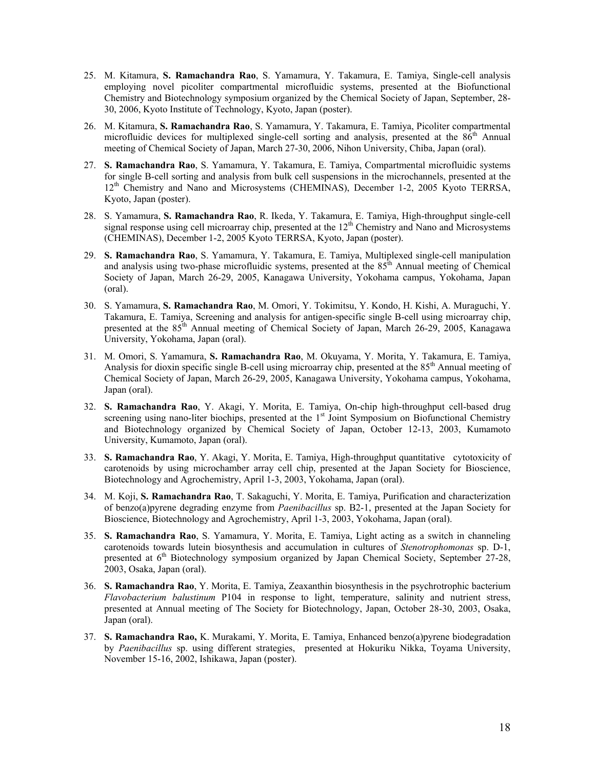- 25. M. Kitamura, **S. Ramachandra Rao**, S. Yamamura, Y. Takamura, E. Tamiya, Single-cell analysis employing novel picoliter compartmental microfluidic systems, presented at the Biofunctional Chemistry and Biotechnology symposium organized by the Chemical Society of Japan, September, 28- 30, 2006, Kyoto Institute of Technology, Kyoto, Japan (poster).
- 26. M. Kitamura, **S. Ramachandra Rao**, S. Yamamura, Y. Takamura, E. Tamiya, Picoliter compartmental microfluidic devices for multiplexed single-cell sorting and analysis, presented at the  $86<sup>th</sup>$  Annual meeting of Chemical Society of Japan, March 27-30, 2006, Nihon University, Chiba, Japan (oral).
- 27. **S. Ramachandra Rao**, S. Yamamura, Y. Takamura, E. Tamiya, Compartmental microfluidic systems for single B-cell sorting and analysis from bulk cell suspensions in the microchannels, presented at the 12<sup>th</sup> Chemistry and Nano and Microsystems (CHEMINAS), December 1-2, 2005 Kyoto TERRSA, Kyoto, Japan (poster).
- 28. S. Yamamura, **S. Ramachandra Rao**, R. Ikeda, Y. Takamura, E. Tamiya, High-throughput single-cell signal response using cell microarray chip, presented at the  $12<sup>th</sup>$  Chemistry and Nano and Microsystems (CHEMINAS), December 1-2, 2005 Kyoto TERRSA, Kyoto, Japan (poster).
- 29. **S. Ramachandra Rao**, S. Yamamura, Y. Takamura, E. Tamiya, Multiplexed single-cell manipulation and analysis using two-phase microfluidic systems, presented at the  $85<sup>th</sup>$  Annual meeting of Chemical Society of Japan, March 26-29, 2005, Kanagawa University, Yokohama campus, Yokohama, Japan (oral).
- 30. S. Yamamura, **S. Ramachandra Rao**, M. Omori, Y. Tokimitsu, Y. Kondo, H. Kishi, A. Muraguchi, Y. Takamura, E. Tamiya, Screening and analysis for antigen-specific single B-cell using microarray chip, presented at the 85<sup>th</sup> Annual meeting of Chemical Society of Japan, March 26-29, 2005, Kanagawa University, Yokohama, Japan (oral).
- 31. M. Omori, S. Yamamura, **S. Ramachandra Rao**, M. Okuyama, Y. Morita, Y. Takamura, E. Tamiya, Analysis for dioxin specific single B-cell using microarray chip, presented at the 85<sup>th</sup> Annual meeting of Chemical Society of Japan, March 26-29, 2005, Kanagawa University, Yokohama campus, Yokohama, Japan (oral).
- 32. **S. Ramachandra Rao**, Y. Akagi, Y. Morita, E. Tamiya, On-chip high-throughput cell-based drug screening using nano-liter biochips, presented at the  $1<sup>st</sup>$  Joint Symposium on Biofunctional Chemistry and Biotechnology organized by Chemical Society of Japan, October 12-13, 2003, Kumamoto University, Kumamoto, Japan (oral).
- 33. **S. Ramachandra Rao**, Y. Akagi, Y. Morita, E. Tamiya, High-throughput quantitative cytotoxicity of carotenoids by using microchamber array cell chip, presented at the Japan Society for Bioscience, Biotechnology and Agrochemistry, April 1-3, 2003, Yokohama, Japan (oral).
- 34. M. Koji, **S. Ramachandra Rao**, T. Sakaguchi, Y. Morita, E. Tamiya, Purification and characterization of benzo(a)pyrene degrading enzyme from *Paenibacillus* sp. B2-1, presented at the Japan Society for Bioscience, Biotechnology and Agrochemistry, April 1-3, 2003, Yokohama, Japan (oral).
- 35. **S. Ramachandra Rao**, S. Yamamura, Y. Morita, E. Tamiya, Light acting as a switch in channeling carotenoids towards lutein biosynthesis and accumulation in cultures of *Stenotrophomonas* sp. D-1, presented at 6<sup>th</sup> Biotechnology symposium organized by Japan Chemical Society, September 27-28, 2003, Osaka, Japan (oral).
- 36. **S. Ramachandra Rao**, Y. Morita, E. Tamiya, Zeaxanthin biosynthesis in the psychrotrophic bacterium *Flavobacterium balustinum* P104 in response to light, temperature, salinity and nutrient stress, presented at Annual meeting of The Society for Biotechnology, Japan, October 28-30, 2003, Osaka, Japan (oral).
- 37. **S. Ramachandra Rao,** K. Murakami, Y. Morita, E. Tamiya, Enhanced benzo(a)pyrene biodegradation by *Paenibacillus* sp. using different strategies,presented at Hokuriku Nikka, Toyama University, November 15-16, 2002, Ishikawa, Japan (poster).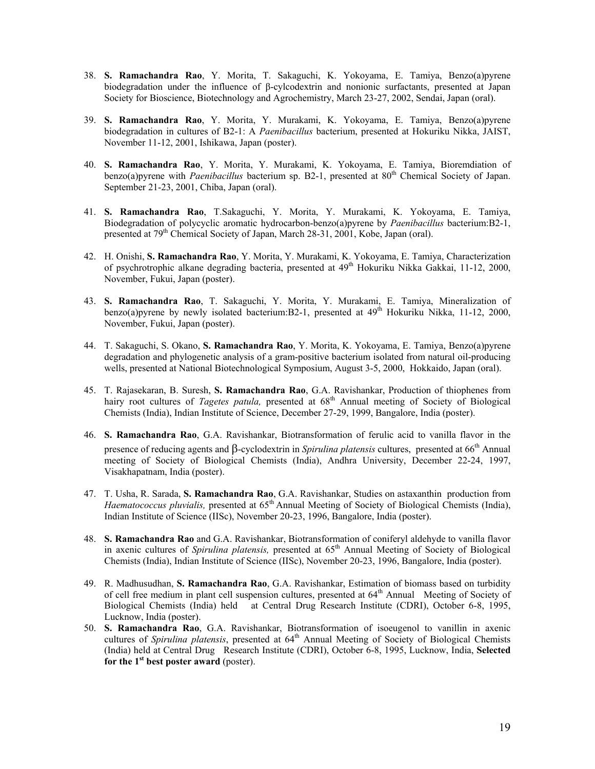- 38. **S. Ramachandra Rao**, Y. Morita, T. Sakaguchi, K. Yokoyama, E. Tamiya, Benzo(a)pyrene biodegradation under the influence of β-cylcodextrin and nonionic surfactants, presented at Japan Society for Bioscience, Biotechnology and Agrochemistry, March 23-27, 2002, Sendai, Japan (oral).
- 39. **S. Ramachandra Rao**, Y. Morita, Y. Murakami, K. Yokoyama, E. Tamiya, Benzo(a)pyrene biodegradation in cultures of B2-1: A *Paenibacillus* bacterium, presented at Hokuriku Nikka, JAIST, November 11-12, 2001, Ishikawa, Japan (poster).
- 40. **S. Ramachandra Rao**, Y. Morita, Y. Murakami, K. Yokoyama, E. Tamiya, Bioremdiation of benzo(a)pyrene with *Paenibacillus* bacterium sp. B2-1, presented at 80<sup>th</sup> Chemical Society of Japan. September 21-23, 2001, Chiba, Japan (oral).
- 41. **S. Ramachandra Rao**, T.Sakaguchi, Y. Morita, Y. Murakami, K. Yokoyama, E. Tamiya, Biodegradation of polycyclic aromatic hydrocarbon-benzo(a)pyrene by *Paenibacillus* bacterium:B2-1, presented at 79<sup>th</sup> Chemical Society of Japan, March 28-31, 2001, Kobe, Japan (oral).
- 42. H. Onishi, **S. Ramachandra Rao**, Y. Morita, Y. Murakami, K. Yokoyama, E. Tamiya, Characterization of psychrotrophic alkane degrading bacteria, presented at 49<sup>th</sup> Hokuriku Nikka Gakkai, 11-12, 2000, November, Fukui, Japan (poster).
- 43. **S. Ramachandra Rao**, T. Sakaguchi, Y. Morita, Y. Murakami, E. Tamiya, Mineralization of benzo(a)pyrene by newly isolated bacterium:B2-1, presented at 49<sup>th</sup> Hokuriku Nikka, 11-12, 2000. November, Fukui, Japan (poster).
- 44. T. Sakaguchi, S. Okano, **S. Ramachandra Rao**, Y. Morita, K. Yokoyama, E. Tamiya, Benzo(a)pyrene degradation and phylogenetic analysis of a gram-positive bacterium isolated from natural oil-producing wells, presented at National Biotechnological Symposium, August 3-5, 2000, Hokkaido, Japan (oral).
- 45. T. Rajasekaran, B. Suresh, **S. Ramachandra Rao**, G.A. Ravishankar, Production of thiophenes from hairy root cultures of *Tagetes patula*, presented at  $68<sup>th</sup>$  Annual meeting of Society of Biological Chemists (India), Indian Institute of Science, December 27-29, 1999, Bangalore, India (poster).
- 46. **S. Ramachandra Rao**, G.A. Ravishankar, Biotransformation of ferulic acid to vanilla flavor in the presence of reducing agents and  $\beta$ -cyclodextrin in Spirulina platensis cultures, presented at 66<sup>th</sup> Annual meeting of Society of Biological Chemists (India), Andhra University, December 22-24, 1997, Visakhapatnam, India (poster).
- 47. T. Usha, R. Sarada, **S. Ramachandra Rao**, G.A. Ravishankar, Studies on astaxanthin production from *Haematococcus pluvialis,* presented at 65<sup>th</sup> Annual Meeting of Society of Biological Chemists (India), Indian Institute of Science (IISc), November 20-23, 1996, Bangalore, India (poster).
- 48. **S. Ramachandra Rao** and G.A. Ravishankar, Biotransformation of coniferyl aldehyde to vanilla flavor in axenic cultures of *Spirulina platensis*, presented at 65<sup>th</sup> Annual Meeting of Society of Biological Chemists (India), Indian Institute of Science (IISc), November 20-23, 1996, Bangalore, India (poster).
- 49. R. Madhusudhan, **S. Ramachandra Rao**, G.A. Ravishankar, Estimation of biomass based on turbidity of cell free medium in plant cell suspension cultures, presented at 64<sup>th</sup> Annual Meeting of Society of Biological Chemists (India) held at Central Drug Research Institute (CDRI), October 6-8, 1995, Lucknow, India (poster).
- 50. **S. Ramachandra Rao**, G.A. Ravishankar, Biotransformation of isoeugenol to vanillin in axenic cultures of *Spirulina platensis*, presented at  $64<sup>th</sup>$  Annual Meeting of Society of Biological Chemists (India) held at Central Drug Research Institute (CDRI), October 6-8, 1995, Lucknow, India, **Selected for the 1st best poster award** (poster).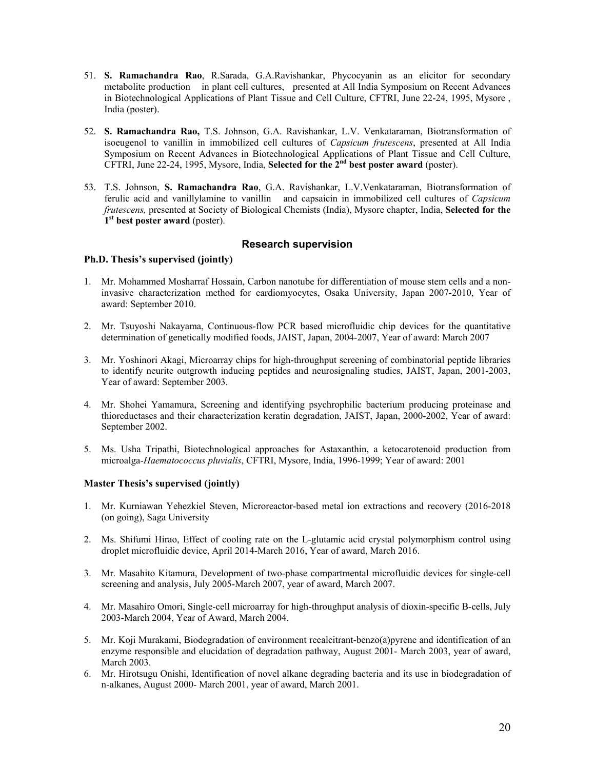- 51. **S. Ramachandra Rao**, R.Sarada, G.A.Ravishankar, Phycocyanin as an elicitor for secondary metabolite production in plant cell cultures, presented at All India Symposium on Recent Advances in Biotechnological Applications of Plant Tissue and Cell Culture, CFTRI, June 22-24, 1995, Mysore , India (poster).
- 52. **S. Ramachandra Rao,** T.S. Johnson, G.A. Ravishankar, L.V. Venkataraman, Biotransformation of isoeugenol to vanillin in immobilized cell cultures of *Capsicum frutescens*, presented at All India Symposium on Recent Advances in Biotechnological Applications of Plant Tissue and Cell Culture, CFTRI, June 22-24, 1995, Mysore, India, **Selected for the 2nd best poster award** (poster).
- 53. T.S. Johnson, **S. Ramachandra Rao**, G.A. Ravishankar, L.V.Venkataraman, Biotransformation of ferulic acid and vanillylamine to vanillin and capsaicin in immobilized cell cultures of *Capsicum frutescens,* presented at Society of Biological Chemists (India), Mysore chapter, India, **Selected for the 1st best poster award** (poster).

# **Research supervision**

#### **Ph.D. Thesis's supervised (jointly)**

- 1. Mr. Mohammed Mosharraf Hossain, Carbon nanotube for differentiation of mouse stem cells and a noninvasive characterization method for cardiomyocytes, Osaka University, Japan 2007-2010, Year of award: September 2010.
- 2. Mr. Tsuyoshi Nakayama, Continuous-flow PCR based microfluidic chip devices for the quantitative determination of genetically modified foods, JAIST, Japan, 2004-2007, Year of award: March 2007
- 3. Mr. Yoshinori Akagi, Microarray chips for high-throughput screening of combinatorial peptide libraries to identify neurite outgrowth inducing peptides and neurosignaling studies, JAIST, Japan, 2001-2003, Year of award: September 2003.
- 4. Mr. Shohei Yamamura, Screening and identifying psychrophilic bacterium producing proteinase and thioreductases and their characterization keratin degradation, JAIST, Japan, 2000-2002, Year of award: September 2002.
- 5. Ms. Usha Tripathi, Biotechnological approaches for Astaxanthin, a ketocarotenoid production from microalga-*Haematococcus pluvialis*, CFTRI, Mysore, India, 1996-1999; Year of award: 2001

#### **Master Thesis's supervised (jointly)**

- 1. Mr. Kurniawan Yehezkiel Steven, Microreactor-based metal ion extractions and recovery (2016-2018 (on going), Saga University
- 2. Ms. Shifumi Hirao, Effect of cooling rate on the L-glutamic acid crystal polymorphism control using droplet microfluidic device, April 2014-March 2016, Year of award, March 2016.
- 3. Mr. Masahito Kitamura, Development of two-phase compartmental microfluidic devices for single-cell screening and analysis, July 2005-March 2007, year of award, March 2007.
- 4. Mr. Masahiro Omori, Single-cell microarray for high-throughput analysis of dioxin-specific B-cells, July 2003-March 2004, Year of Award, March 2004.
- 5. Mr. Koji Murakami, Biodegradation of environment recalcitrant-benzo(a)pyrene and identification of an enzyme responsible and elucidation of degradation pathway, August 2001- March 2003, year of award, March 2003.
- 6. Mr. Hirotsugu Onishi, Identification of novel alkane degrading bacteria and its use in biodegradation of n-alkanes, August 2000- March 2001, year of award, March 2001.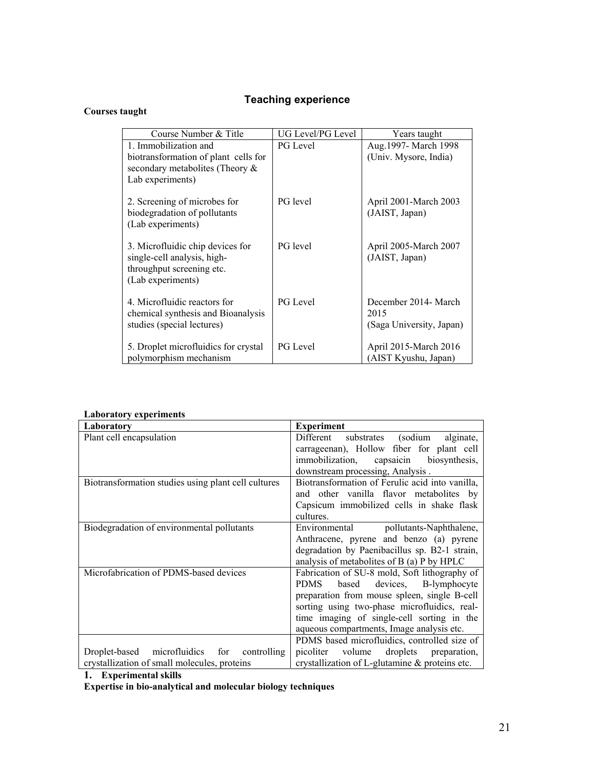# **Teaching experience**

# **Courses taught**

| Course Number & Title                                        | UG Level/PG Level | Years taught                            |
|--------------------------------------------------------------|-------------------|-----------------------------------------|
| 1. Immobilization and                                        | <b>PG</b> Level   | Aug.1997- March 1998                    |
| biotransformation of plant cells for                         |                   | (Univ. Mysore, India)                   |
| secondary metabolites (Theory &                              |                   |                                         |
| Lab experiments)                                             |                   |                                         |
|                                                              |                   |                                         |
| 2. Screening of microbes for<br>biodegradation of pollutants | PG level          | April 2001-March 2003<br>(JAIST, Japan) |
| (Lab experiments)                                            |                   |                                         |
|                                                              |                   |                                         |
| 3. Microfluidic chip devices for                             | PG level          | April 2005-March 2007                   |
| single-cell analysis, high-                                  |                   | (JAIST, Japan)                          |
| throughput screening etc.                                    |                   |                                         |
| (Lab experiments)                                            |                   |                                         |
|                                                              |                   |                                         |
| 4. Microfluidic reactors for                                 | PG Level          | December 2014- March<br>2015            |
| chemical synthesis and Bioanalysis                           |                   |                                         |
| studies (special lectures)                                   |                   | (Saga University, Japan)                |
| 5. Droplet microfluidics for crystal                         | PG Level          | April 2015-March 2016                   |
| polymorphism mechanism                                       |                   | (AIST Kyushu, Japan)                    |

| еноот неот у схретниенез<br>Laboratory              | <b>Experiment</b>                               |
|-----------------------------------------------------|-------------------------------------------------|
|                                                     |                                                 |
| Plant cell encapsulation                            | Different<br>substrates (sodium<br>alginate,    |
|                                                     | carrageenan), Hollow fiber for plant cell       |
|                                                     | immobilization, capsaicin biosynthesis,         |
|                                                     | downstream processing, Analysis.                |
| Biotransformation studies using plant cell cultures | Biotransformation of Ferulic acid into vanilla, |
|                                                     | and other vanilla flavor metabolites by         |
|                                                     | Capsicum immobilized cells in shake flask       |
|                                                     | cultures.                                       |
| Biodegradation of environmental pollutants          | Environmental pollutants-Naphthalene,           |
|                                                     | Anthracene, pyrene and benzo (a) pyrene         |
|                                                     | degradation by Paenibacillus sp. B2-1 strain,   |
|                                                     |                                                 |
|                                                     | analysis of metabolities of B (a) P by HPLC     |
| Microfabrication of PDMS-based devices              | Fabrication of SU-8 mold, Soft lithography of   |
|                                                     | based devices, B-lymphocyte<br><b>PDMS</b>      |
|                                                     | preparation from mouse spleen, single B-cell    |
|                                                     | sorting using two-phase microfluidics, real-    |
|                                                     | time imaging of single-cell sorting in the      |
|                                                     | aqueous compartments, Image analysis etc.       |
|                                                     | PDMS based microfluidics, controlled size of    |
| microfluidics for<br>controlling<br>Droplet-based   | volume<br>droplets preparation,<br>picoliter    |
| crystallization of small molecules, proteins        | crystallization of L-glutamine & proteins etc.  |

# **Laboratory experiments**

**1. Experimental skills** 

**Expertise in bio-analytical and molecular biology techniques**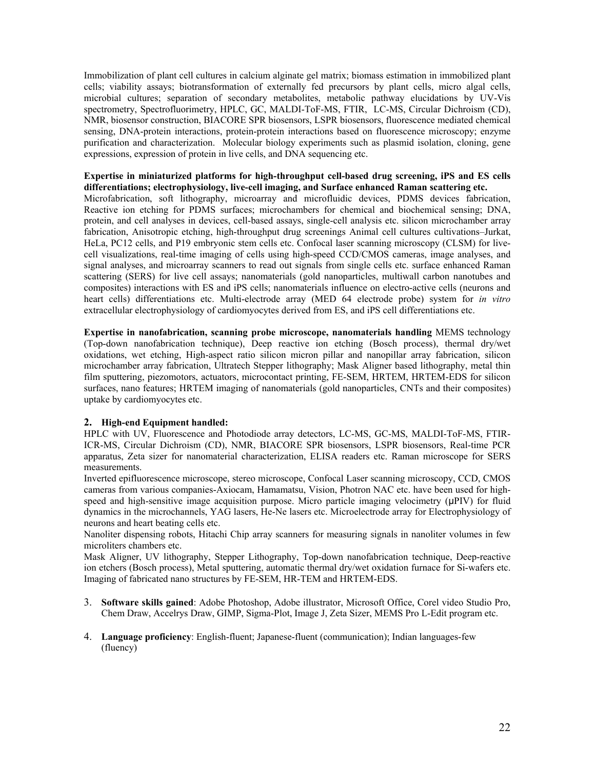Immobilization of plant cell cultures in calcium alginate gel matrix; biomass estimation in immobilized plant cells; viability assays; biotransformation of externally fed precursors by plant cells, micro algal cells, microbial cultures; separation of secondary metabolites, metabolic pathway elucidations by UV-Vis spectrometry, Spectrofluorimetry, HPLC, GC, MALDI-ToF-MS, FTIR, LC-MS, Circular Dichroism (CD), NMR, biosensor construction, BIACORE SPR biosensors, LSPR biosensors, fluorescence mediated chemical sensing, DNA-protein interactions, protein-protein interactions based on fluorescence microscopy; enzyme purification and characterization. Molecular biology experiments such as plasmid isolation, cloning, gene expressions, expression of protein in live cells, and DNA sequencing etc.

#### **Expertise in miniaturized platforms for high-throughput cell-based drug screening, iPS and ES cells differentiations; electrophysiology, live-cell imaging, and Surface enhanced Raman scattering etc.**

Microfabrication, soft lithography, microarray and microfluidic devices, PDMS devices fabrication, Reactive ion etching for PDMS surfaces; microchambers for chemical and biochemical sensing; DNA, protein, and cell analyses in devices, cell-based assays, single-cell analysis etc. silicon microchamber array fabrication, Anisotropic etching, high-throughput drug screenings Animal cell cultures cultivations–Jurkat, HeLa, PC12 cells, and P19 embryonic stem cells etc. Confocal laser scanning microscopy (CLSM) for livecell visualizations, real-time imaging of cells using high-speed CCD/CMOS cameras, image analyses, and signal analyses, and microarray scanners to read out signals from single cells etc. surface enhanced Raman scattering (SERS) for live cell assays; nanomaterials (gold nanoparticles, multiwall carbon nanotubes and composites) interactions with ES and iPS cells; nanomaterials influence on electro-active cells (neurons and heart cells) differentiations etc. Multi-electrode array (MED 64 electrode probe) system for *in vitro* extracellular electrophysiology of cardiomyocytes derived from ES, and iPS cell differentiations etc.

**Expertise in nanofabrication, scanning probe microscope, nanomaterials handling** MEMS technology (Top-down nanofabrication technique), Deep reactive ion etching (Bosch process), thermal dry/wet oxidations, wet etching, High-aspect ratio silicon micron pillar and nanopillar array fabrication, silicon microchamber array fabrication, Ultratech Stepper lithography; Mask Aligner based lithography, metal thin film sputtering, piezomotors, actuators, microcontact printing, FE-SEM, HRTEM, HRTEM-EDS for silicon surfaces, nano features; HRTEM imaging of nanomaterials (gold nanoparticles, CNTs and their composites) uptake by cardiomyocytes etc.

#### **2. High-end Equipment handled:**

HPLC with UV, Fluorescence and Photodiode array detectors, LC-MS, GC-MS, MALDI-ToF-MS, FTIR-ICR-MS, Circular Dichroism (CD), NMR, BIACORE SPR biosensors, LSPR biosensors, Real-time PCR apparatus, Zeta sizer for nanomaterial characterization, ELISA readers etc. Raman microscope for SERS measurements.

Inverted epifluorescence microscope, stereo microscope, Confocal Laser scanning microscopy, CCD, CMOS cameras from various companies-Axiocam, Hamamatsu, Vision, Photron NAC etc. have been used for highspeed and high-sensitive image acquisition purpose. Micro particle imaging velocimetry (μPIV) for fluid dynamics in the microchannels, YAG lasers, He-Ne lasers etc. Microelectrode array for Electrophysiology of neurons and heart beating cells etc.

Nanoliter dispensing robots, Hitachi Chip array scanners for measuring signals in nanoliter volumes in few microliters chambers etc.

Mask Aligner, UV lithography, Stepper Lithography, Top-down nanofabrication technique, Deep-reactive ion etchers (Bosch process), Metal sputtering, automatic thermal dry/wet oxidation furnace for Si-wafers etc. Imaging of fabricated nano structures by FE-SEM, HR-TEM and HRTEM-EDS.

- 3. **Software skills gained**: Adobe Photoshop, Adobe illustrator, Microsoft Office, Corel video Studio Pro, Chem Draw, Accelrys Draw, GIMP, Sigma-Plot, Image J, Zeta Sizer, MEMS Pro L-Edit program etc.
- 4. **Language proficiency**: English-fluent; Japanese-fluent (communication); Indian languages-few (fluency)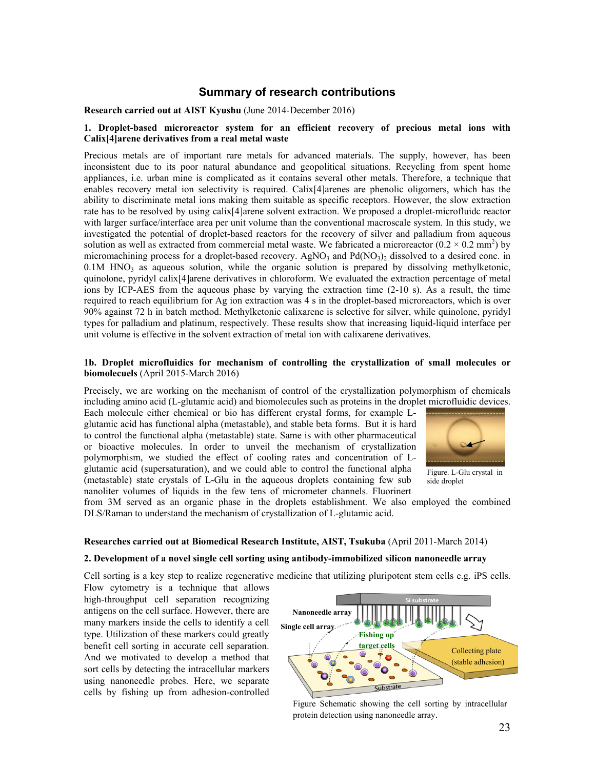# **Summary of research contributions**

#### **Research carried out at AIST Kyushu** (June 2014-December 2016)

#### **1. Droplet-based microreactor system for an efficient recovery of precious metal ions with Calix[4]arene derivatives from a real metal waste**

Precious metals are of important rare metals for advanced materials. The supply, however, has been inconsistent due to its poor natural abundance and geopolitical situations. Recycling from spent home appliances, i.e. urban mine is complicated as it contains several other metals. Therefore, a technique that enables recovery metal ion selectivity is required. Calix[4]arenes are phenolic oligomers, which has the ability to discriminate metal ions making them suitable as specific receptors. However, the slow extraction rate has to be resolved by using calix[4]arene solvent extraction. We proposed a droplet-microfluidc reactor with larger surface/interface area per unit volume than the conventional macroscale system. In this study, we investigated the potential of droplet-based reactors for the recovery of silver and palladium from aqueous solution as well as extracted from commercial metal waste. We fabricated a microreactor  $(0.2 \times 0.2 \text{ mm}^2)$  by micromachining process for a droplet-based recovery. AgNO<sub>3</sub> and Pd(NO<sub>3</sub>)<sub>2</sub> dissolved to a desired conc. in  $0.1M$  HNO<sub>3</sub> as aqueous solution, while the organic solution is prepared by dissolving methylketonic, quinolone, pyridyl calix[4]arene derivatives in chloroform. We evaluated the extraction percentage of metal ions by ICP-AES from the aqueous phase by varying the extraction time (2-10 s). As a result, the time required to reach equilibrium for Ag ion extraction was 4 s in the droplet-based microreactors, which is over 90% against 72 h in batch method. Methylketonic calixarene is selective for silver, while quinolone, pyridyl types for palladium and platinum, respectively. These results show that increasing liquid-liquid interface per unit volume is effective in the solvent extraction of metal ion with calixarene derivatives.

#### **1b. Droplet microfluidics for mechanism of controlling the crystallization of small molecules or biomolecuels** (April 2015-March 2016)

Precisely, we are working on the mechanism of control of the crystallization polymorphism of chemicals including amino acid (L-glutamic acid) and biomolecules such as proteins in the droplet microfluidic devices.

Each molecule either chemical or bio has different crystal forms, for example Lglutamic acid has functional alpha (metastable), and stable beta forms. But it is hard to control the functional alpha (metastable) state. Same is with other pharmaceutical or bioactive molecules. In order to unveil the mechanism of crystallization polymorphism, we studied the effect of cooling rates and concentration of Lglutamic acid (supersaturation), and we could able to control the functional alpha (metastable) state crystals of L-Glu in the aqueous droplets containing few sub nanoliter volumes of liquids in the few tens of micrometer channels. Fluorinert



Figure. L-Glu crystal in side droplet

from 3M served as an organic phase in the droplets establishment. We also employed the combined DLS/Raman to understand the mechanism of crystallization of L-glutamic acid.

#### **Researches carried out at Biomedical Research Institute, AIST, Tsukuba** (April 2011-March 2014)

#### **2. Development of a novel single cell sorting using antibody-immobilized silicon nanoneedle array**

Cell sorting is a key step to realize regenerative medicine that utilizing pluripotent stem cells e.g. iPS cells.

Flow cytometry is a technique that allows high-throughput cell separation recognizing antigens on the cell surface. However, there are many markers inside the cells to identify a cell type. Utilization of these markers could greatly benefit cell sorting in accurate cell separation. And we motivated to develop a method that sort cells by detecting the intracellular markers using nanoneedle probes. Here, we separate cells by fishing up from adhesion-controlled



Figure Schematic showing the cell sorting by intracellular protein detection using nanoneedle array.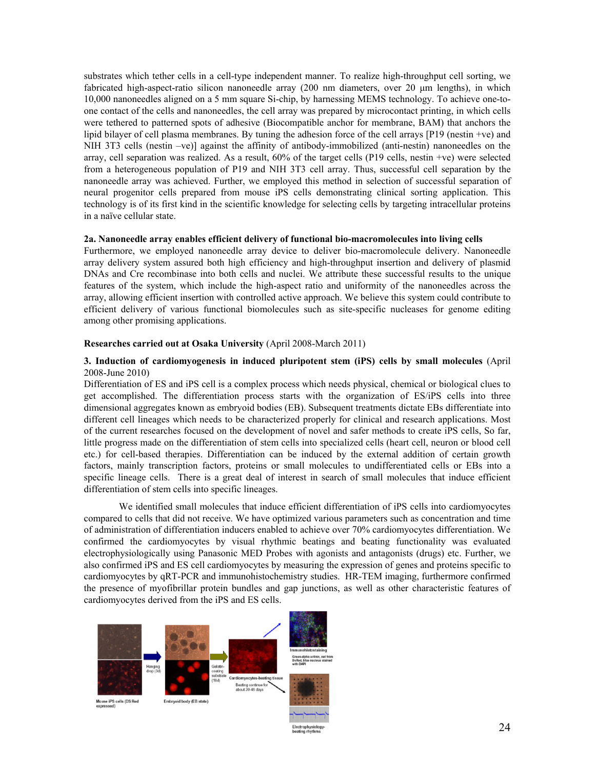substrates which tether cells in a cell-type independent manner. To realize high-throughput cell sorting, we fabricated high-aspect-ratio silicon nanoneedle array (200 nm diameters, over 20 μm lengths), in which 10,000 nanoneedles aligned on a 5 mm square Si-chip, by harnessing MEMS technology. To achieve one-toone contact of the cells and nanoneedles, the cell array was prepared by microcontact printing, in which cells were tethered to patterned spots of adhesive (Biocompatible anchor for membrane, BAM) that anchors the lipid bilayer of cell plasma membranes. By tuning the adhesion force of the cell arrays [P19 (nestin +ve) and NIH 3T3 cells (nestin –ve)] against the affinity of antibody-immobilized (anti-nestin) nanoneedles on the array, cell separation was realized. As a result, 60% of the target cells (P19 cells, nestin +ve) were selected from a heterogeneous population of P19 and NIH 3T3 cell array. Thus, successful cell separation by the nanoneedle array was achieved. Further, we employed this method in selection of successful separation of neural progenitor cells prepared from mouse iPS cells demonstrating clinical sorting application. This technology is of its first kind in the scientific knowledge for selecting cells by targeting intracellular proteins in a naïve cellular state.

#### **2a. Nanoneedle array enables efficient delivery of functional bio-macromolecules into living cells**

Furthermore, we employed nanoneedle array device to deliver bio-macromolecule delivery. Nanoneedle array delivery system assured both high efficiency and high-throughput insertion and delivery of plasmid DNAs and Cre recombinase into both cells and nuclei. We attribute these successful results to the unique features of the system, which include the high-aspect ratio and uniformity of the nanoneedles across the array, allowing efficient insertion with controlled active approach. We believe this system could contribute to efficient delivery of various functional biomolecules such as site-specific nucleases for genome editing among other promising applications.

#### **Researches carried out at Osaka University** (April 2008-March 2011)

#### **3. Induction of cardiomyogenesis in induced pluripotent stem (iPS) cells by small molecules** (April 2008-June 2010)

Differentiation of ES and iPS cell is a complex process which needs physical, chemical or biological clues to get accomplished. The differentiation process starts with the organization of ES/iPS cells into three dimensional aggregates known as embryoid bodies (EB). Subsequent treatments dictate EBs differentiate into different cell lineages which needs to be characterized properly for clinical and research applications. Most of the current researches focused on the development of novel and safer methods to create iPS cells, So far, little progress made on the differentiation of stem cells into specialized cells (heart cell, neuron or blood cell etc.) for cell-based therapies. Differentiation can be induced by the external addition of certain growth factors, mainly transcription factors, proteins or small molecules to undifferentiated cells or EBs into a specific lineage cells. There is a great deal of interest in search of small molecules that induce efficient differentiation of stem cells into specific lineages.

We identified small molecules that induce efficient differentiation of iPS cells into cardiomyocytes compared to cells that did not receive. We have optimized various parameters such as concentration and time of administration of differentiation inducers enabled to achieve over 70% cardiomyocytes differentiation. We confirmed the cardiomyocytes by visual rhythmic beatings and beating functionality was evaluated electrophysiologically using Panasonic MED Probes with agonists and antagonists (drugs) etc. Further, we also confirmed iPS and ES cell cardiomyocytes by measuring the expression of genes and proteins specific to cardiomyocytes by qRT-PCR and immunohistochemistry studies. HR-TEM imaging, furthermore confirmed the presence of myofibrillar protein bundles and gap junctions, as well as other characteristic features of cardiomyocytes derived from the iPS and ES cells.

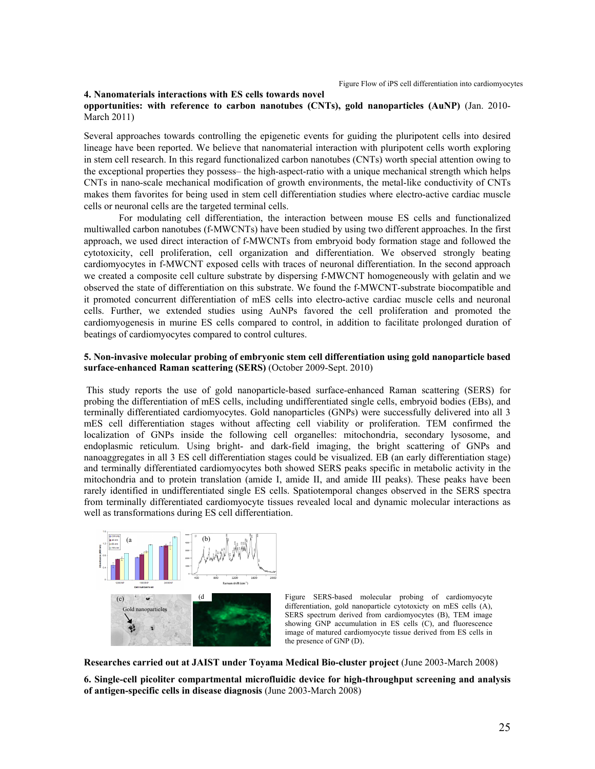#### **4. Nanomaterials interactions with ES cells towards novel**

#### **opportunities: with reference to carbon nanotubes (CNTs), gold nanoparticles (AuNP)** (Jan. 2010- March 2011)

Several approaches towards controlling the epigenetic events for guiding the pluripotent cells into desired lineage have been reported. We believe that nanomaterial interaction with pluripotent cells worth exploring in stem cell research. In this regard functionalized carbon nanotubes (CNTs) worth special attention owing to the exceptional properties they possess– the high-aspect-ratio with a unique mechanical strength which helps CNTs in nano-scale mechanical modification of growth environments, the metal-like conductivity of CNTs makes them favorites for being used in stem cell differentiation studies where electro-active cardiac muscle cells or neuronal cells are the targeted terminal cells.

For modulating cell differentiation, the interaction between mouse ES cells and functionalized multiwalled carbon nanotubes (f-MWCNTs) have been studied by using two different approaches. In the first approach, we used direct interaction of f-MWCNTs from embryoid body formation stage and followed the cytotoxicity, cell proliferation, cell organization and differentiation. We observed strongly beating cardiomyocytes in f-MWCNT exposed cells with traces of neuronal differentiation. In the second approach we created a composite cell culture substrate by dispersing f-MWCNT homogeneously with gelatin and we observed the state of differentiation on this substrate. We found the f-MWCNT-substrate biocompatible and it promoted concurrent differentiation of mES cells into electro-active cardiac muscle cells and neuronal cells. Further, we extended studies using AuNPs favored the cell proliferation and promoted the cardiomyogenesis in murine ES cells compared to control, in addition to facilitate prolonged duration of beatings of cardiomyocytes compared to control cultures.

#### **5. Non-invasive molecular probing of embryonic stem cell differentiation using gold nanoparticle based surface-enhanced Raman scattering (SERS)** (October 2009-Sept. 2010)

 This study reports the use of gold nanoparticle-based surface-enhanced Raman scattering (SERS) for probing the differentiation of mES cells, including undifferentiated single cells, embryoid bodies (EBs), and terminally differentiated cardiomyocytes. Gold nanoparticles (GNPs) were successfully delivered into all 3 mES cell differentiation stages without affecting cell viability or proliferation. TEM confirmed the localization of GNPs inside the following cell organelles: mitochondria, secondary lysosome, and endoplasmic reticulum. Using bright- and dark-field imaging, the bright scattering of GNPs and nanoaggregates in all 3 ES cell differentiation stages could be visualized. EB (an early differentiation stage) and terminally differentiated cardiomyocytes both showed SERS peaks specific in metabolic activity in the mitochondria and to protein translation (amide I, amide II, and amide III peaks). These peaks have been rarely identified in undifferentiated single ES cells. Spatiotemporal changes observed in the SERS spectra from terminally differentiated cardiomyocyte tissues revealed local and dynamic molecular interactions as well as transformations during ES cell differentiation.



Figure SERS-based molecular probing of cardiomyocyte differentiation, gold nanoparticle cytotoxicty on mES cells (A), SERS spectrum derived from cardiomyocytes (B), TEM image showing GNP accumulation in ES cells (C), and fluorescence image of matured cardiomyocyte tissue derived from ES cells in the presence of GNP (D).

**Researches carried out at JAIST under Toyama Medical Bio-cluster project** (June 2003-March 2008)

**6. Single-cell picoliter compartmental microfluidic device for high-throughput screening and analysis of antigen-specific cells in disease diagnosis** (June 2003-March 2008)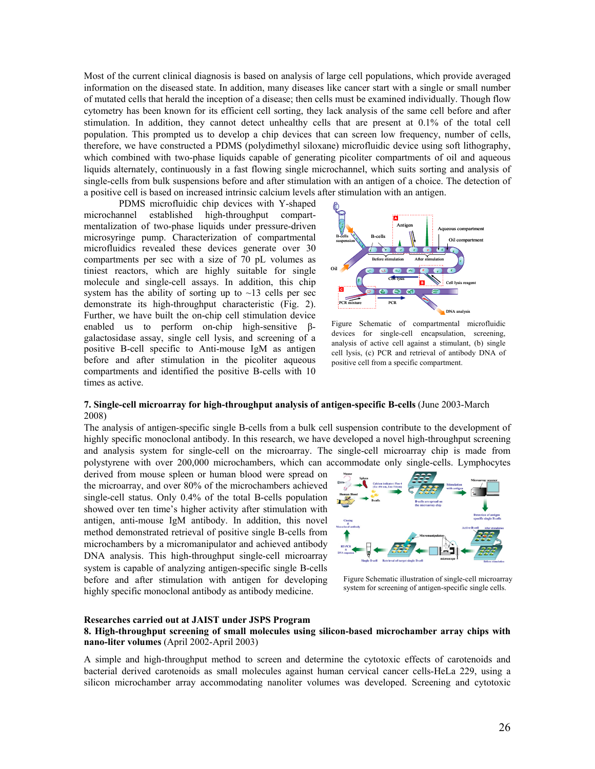Most of the current clinical diagnosis is based on analysis of large cell populations, which provide averaged information on the diseased state. In addition, many diseases like cancer start with a single or small number of mutated cells that herald the inception of a disease; then cells must be examined individually. Though flow cytometry has been known for its efficient cell sorting, they lack analysis of the same cell before and after stimulation. In addition, they cannot detect unhealthy cells that are present at 0.1% of the total cell population. This prompted us to develop a chip devices that can screen low frequency, number of cells, therefore, we have constructed a PDMS (polydimethyl siloxane) microfluidic device using soft lithography, which combined with two-phase liquids capable of generating picoliter compartments of oil and aqueous liquids alternately, continuously in a fast flowing single microchannel, which suits sorting and analysis of single-cells from bulk suspensions before and after stimulation with an antigen of a choice. The detection of a positive cell is based on increased intrinsic calcium levels after stimulation with an antigen.

PDMS microfluidic chip devices with Y-shaped microchannel established high-throughput compartmentalization of two-phase liquids under pressure-driven microsyringe pump. Characterization of compartmental microfluidics revealed these devices generate over 30 compartments per sec with a size of 70 pL volumes as tiniest reactors, which are highly suitable for single molecule and single-cell assays. In addition, this chip system has the ability of sorting up to  $\sim$ 13 cells per sec demonstrate its high-throughput characteristic (Fig. 2). Further, we have built the on-chip cell stimulation device enabled us to perform on-chip high-sensitive βgalactosidase assay, single cell lysis, and screening of a positive B-cell specific to Anti-mouse IgM as antigen before and after stimulation in the picoliter aqueous compartments and identified the positive B-cells with 10 times as active.



Figure Schematic of compartmental microfluidic devices for single-cell encapsulation, screening, analysis of active cell against a stimulant, (b) single cell lysis, (c) PCR and retrieval of antibody DNA of positive cell from a specific compartment.

#### **7. Single-cell microarray for high-throughput analysis of antigen-specific B-cells** (June 2003-March 2008)

The analysis of antigen-specific single B-cells from a bulk cell suspension contribute to the development of highly specific monoclonal antibody. In this research, we have developed a novel high-throughput screening and analysis system for single-cell on the microarray. The single-cell microarray chip is made from polystyrene with over 200,000 microchambers, which can accommodate only single-cells. Lymphocytes

derived from mouse spleen or human blood were spread on the microarray, and over 80% of the microchambers achieved single-cell status. Only 0.4% of the total B-cells population showed over ten time's higher activity after stimulation with antigen, anti-mouse IgM antibody. In addition, this novel method demonstrated retrieval of positive single B-cells from microchambers by a micromanipulator and achieved antibody DNA analysis. This high-throughput single-cell microarray system is capable of analyzing antigen-specific single B-cells before and after stimulation with antigen for developing highly specific monoclonal antibody as antibody medicine.



Figure Schematic illustration of single-cell microarray system for screening of antigen-specific single cells.

#### **Researches carried out at JAIST under JSPS Program**

#### **8. High-throughput screening of small molecules using silicon-based microchamber array chips with nano-liter volumes** (April 2002-April 2003)

A simple and high-throughput method to screen and determine the cytotoxic effects of carotenoids and bacterial derived carotenoids as small molecules against human cervical cancer cells-HeLa 229, using a silicon microchamber array accommodating nanoliter volumes was developed. Screening and cytotoxic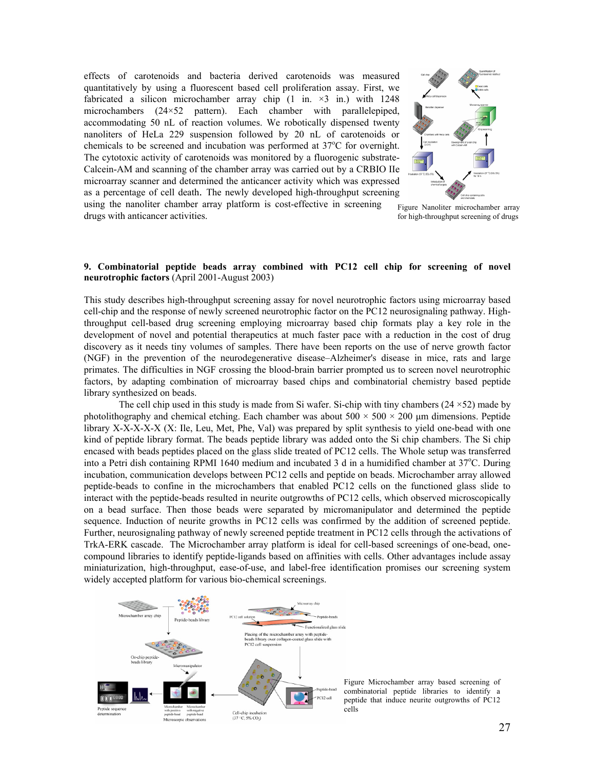effects of carotenoids and bacteria derived carotenoids was measured quantitatively by using a fluorescent based cell proliferation assay. First, we fabricated a silicon microchamber array chip  $(1 \text{ in.} \times 3 \text{ in.})$  with 1248 microchambers (24×52 pattern). Each chamber with parallelepiped, accommodating 50 nL of reaction volumes. We robotically dispensed twenty nanoliters of HeLa 229 suspension followed by 20 nL of carotenoids or chemicals to be screened and incubation was performed at 37°C for overnight. The cytotoxic activity of carotenoids was monitored by a fluorogenic substrate-Calcein-AM and scanning of the chamber array was carried out by a CRBIO IIe microarray scanner and determined the anticancer activity which was expressed as a percentage of cell death. The newly developed high-throughput screening

**neurotrophic factors** (April 2001-August 2003)



using the nanoliter chamber array platform is cost-effective in screening drugs with anticancer activities. Figure Nanoliter microchamber array for high-throughput screening of drugs

# **9. Combinatorial peptide beads array combined with PC12 cell chip for screening of novel**

This study describes high-throughput screening assay for novel neurotrophic factors using microarray based cell-chip and the response of newly screened neurotrophic factor on the PC12 neurosignaling pathway. Highthroughput cell-based drug screening employing microarray based chip formats play a key role in the development of novel and potential therapeutics at much faster pace with a reduction in the cost of drug discovery as it needs tiny volumes of samples. There have been reports on the use of nerve growth factor (NGF) in the prevention of the neurodegenerative disease–Alzheimer's disease in mice, rats and large primates. The difficulties in NGF crossing the blood-brain barrier prompted us to screen novel neurotrophic factors, by adapting combination of microarray based chips and combinatorial chemistry based peptide library synthesized on beads.

The cell chip used in this study is made from Si wafer. Si-chip with tiny chambers  $(24 \times 52)$  made by photolithography and chemical etching. Each chamber was about  $500 \times 500 \times 200$  µm dimensions. Peptide library X-X-X-X-X (X: Ile, Leu, Met, Phe, Val) was prepared by split synthesis to yield one-bead with one kind of peptide library format. The beads peptide library was added onto the Si chip chambers. The Si chip encased with beads peptides placed on the glass slide treated of PC12 cells. The Whole setup was transferred into a Petri dish containing RPMI 1640 medium and incubated 3 d in a humidified chamber at 37°C. During incubation, communication develops between PC12 cells and peptide on beads. Microchamber array allowed peptide-beads to confine in the microchambers that enabled PC12 cells on the functioned glass slide to interact with the peptide-beads resulted in neurite outgrowths of PC12 cells, which observed microscopically on a bead surface. Then those beads were separated by micromanipulator and determined the peptide sequence. Induction of neurite growths in PC12 cells was confirmed by the addition of screened peptide. Further, neurosignaling pathway of newly screened peptide treatment in PC12 cells through the activations of TrkA-ERK cascade. The Microchamber array platform is ideal for cell-based screenings of one-bead, onecompound libraries to identify peptide-ligands based on affinities with cells. Other advantages include assay miniaturization, high-throughput, ease-of-use, and label-free identification promises our screening system widely accepted platform for various bio-chemical screenings.



Figure Microchamber array based screening of combinatorial peptide libraries to identify a peptide that induce neurite outgrowths of PC12 cells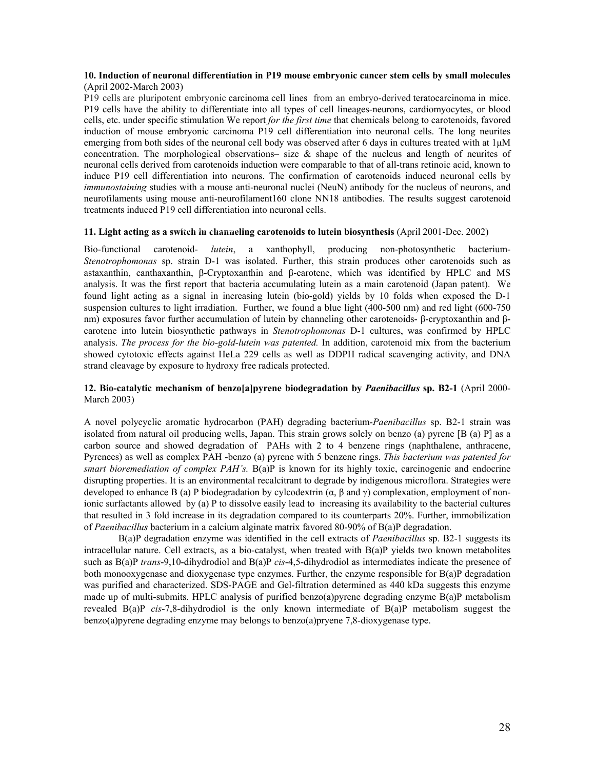#### **10. Induction of neuronal differentiation in P19 mouse embryonic cancer stem cells by small molecules**  (April 2002-March 2003)

P19 cells are pluripotent embryonic carcinoma cell lines from an embryo-derived teratocarcinoma in mice. P19 cells have the ability to differentiate into all types of cell lineages-neurons, cardiomyocytes, or blood cells, etc. under specific stimulation We report *for the first time* that chemicals belong to carotenoids, favored induction of mouse embryonic carcinoma P19 cell differentiation into neuronal cells. The long neurites emerging from both sides of the neuronal cell body was observed after 6 days in cultures treated with at  $1\mu$ M concentration. The morphological observations– size  $\&$  shape of the nucleus and length of neurites of neuronal cells derived from carotenoids induction were comparable to that of all-trans retinoic acid, known to induce P19 cell differentiation into neurons. The confirmation of carotenoids induced neuronal cells by *immunostaining* studies with a mouse anti-neuronal nuclei (NeuN) antibody for the nucleus of neurons, and neurofilaments using mouse anti-neurofilament160 clone NN18 antibodies. The results suggest carotenoid treatments induced P19 cell differentiation into neuronal cells.

#### 11. Light acting as a switch in channeling carotenoids to lutein biosynthesis (April 2001-Dec. 2002)

Bio-functional carotenoid- *lutein*, a xanthophyll, producing non-photosynthetic bacterium-*Stenotrophomonas* sp. strain D-1 was isolated. Further, this strain produces other carotenoids such as astaxanthin, canthaxanthin, β-Cryptoxanthin and β-carotene, which was identified by HPLC and MS analysis. It was the first report that bacteria accumulating lutein as a main carotenoid (Japan patent). We found light acting as a signal in increasing lutein (bio-gold) yields by 10 folds when exposed the D-1 suspension cultures to light irradiation. Further, we found a blue light (400-500 nm) and red light (600-750 nm) exposures favor further accumulation of lutein by channeling other carotenoids- β-cryptoxanthin and βcarotene into lutein biosynthetic pathways in *Stenotrophomonas* D-1 cultures, was confirmed by HPLC analysis. *The process for the bio-gold-lutein was patented.* In addition, carotenoid mix from the bacterium showed cytotoxic effects against HeLa 229 cells as well as DDPH radical scavenging activity, and DNA strand cleavage by exposure to hydroxy free radicals protected.

#### **12. Bio-catalytic mechanism of benzo[a]pyrene biodegradation by** *Paenibacillus* **sp. B2-1** (April 2000- March 2003)

A novel polycyclic aromatic hydrocarbon (PAH) degrading bacterium-*Paenibacillus* sp. B2-1 strain was isolated from natural oil producing wells, Japan. This strain grows solely on benzo (a) pyrene [B (a) P] as a carbon source and showed degradation of PAHs with 2 to 4 benzene rings (naphthalene, anthracene, Pyrenees) as well as complex PAH -benzo (a) pyrene with 5 benzene rings. *This bacterium was patented for smart bioremediation of complex PAH's.* B(a)P is known for its highly toxic, carcinogenic and endocrine disrupting properties. It is an environmental recalcitrant to degrade by indigenous microflora. Strategies were developed to enhance B (a) P biodegradation by cylcodextrin ( $\alpha$ ,  $\beta$  and  $\gamma$ ) complexation, employment of nonionic surfactants allowed by (a) P to dissolve easily lead to increasing its availability to the bacterial cultures that resulted in 3 fold increase in its degradation compared to its counterparts 20%. Further, immobilization of *Paenibacillus* bacterium in a calcium alginate matrix favored 80-90% of B(a)P degradation.

B(a)P degradation enzyme was identified in the cell extracts of *Paenibacillus* sp. B2-1 suggests its intracellular nature. Cell extracts, as a bio-catalyst, when treated with B(a)P yields two known metabolites such as B(a)P *trans*-9,10-dihydrodiol and B(a)P *cis*-4,5-dihydrodiol as intermediates indicate the presence of both monooxygenase and dioxygenase type enzymes. Further, the enzyme responsible for B(a)P degradation was purified and characterized. SDS-PAGE and Gel-filtration determined as 440 kDa suggests this enzyme made up of multi-submits. HPLC analysis of purified benzo(a)pyrene degrading enzyme B(a)P metabolism revealed B(a)P *cis*-7,8-dihydrodiol is the only known intermediate of B(a)P metabolism suggest the benzo(a)pyrene degrading enzyme may belongs to benzo(a)pryene 7,8-dioxygenase type.